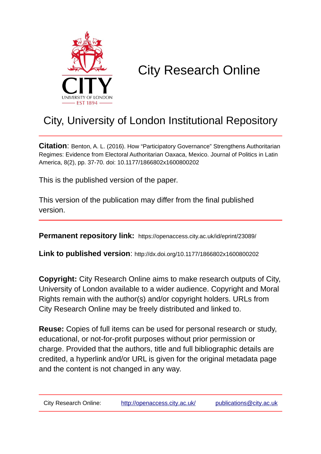

# City Research Online

# City, University of London Institutional Repository

**Citation**: Benton, A. L. (2016). How "Participatory Governance" Strengthens Authoritarian Regimes: Evidence from Electoral Authoritarian Oaxaca, Mexico. Journal of Politics in Latin America, 8(2), pp. 37-70. doi: 10.1177/1866802x1600800202

This is the published version of the paper.

This version of the publication may differ from the final published version.

**Permanent repository link:** https://openaccess.city.ac.uk/id/eprint/23089/

**Link to published version**: http://dx.doi.org/10.1177/1866802x1600800202

**Copyright:** City Research Online aims to make research outputs of City, University of London available to a wider audience. Copyright and Moral Rights remain with the author(s) and/or copyright holders. URLs from City Research Online may be freely distributed and linked to.

**Reuse:** Copies of full items can be used for personal research or study, educational, or not-for-profit purposes without prior permission or charge. Provided that the authors, title and full bibliographic details are credited, a hyperlink and/or URL is given for the original metadata page and the content is not changed in any way.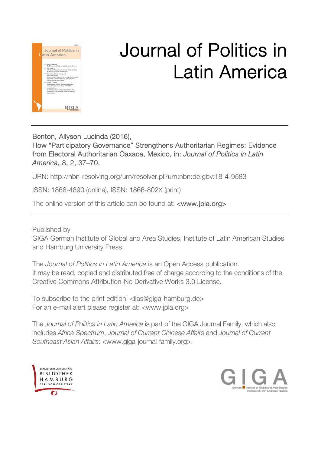

# Journal of Politics in Latin America

Benton, Allyson Lucinda (2016), How "Participatory Governance" Strengthens Authoritarian Regimes: Evidence from Electoral Authoritarian Oaxaca, Mexico, in: *Journal of Politics in Latin America*, 8, 2, 37–70.

URN: http://nbn-resolving.org/urn/resolver.pl?urn:nbn:de:gbv:18-4-9583

ISSN: 1868-4890 (online), ISSN: 1866-802X (print)

The online version of this article can be found at: <www.jpla.org>

Published by

GIGA German Institute of Global and Area Studies, Institute of Latin American Studies and Hamburg University Press.

The *Journal of Politics in Latin America* is an Open Access publication. It may be read, copied and distributed free of charge according to the conditions of the Creative Commons Attribution-No Derivative Works 3.0 License.

To subscribe to the print edition: <ilas@giga-hamburg.de> For an e-mail alert please register at: <www.jpla.org>

The *Journal of Politics in Latin America* is part of the GIGA Journal Family, which also includes *Africa Spectrum*, *Journal of Current Chinese Affairs* and *Journal of Current Southeast Asian Affairs*: <www.giga-journal-family.org>.



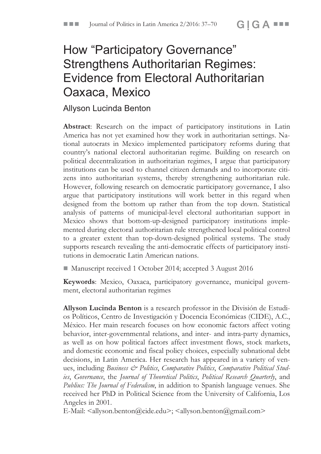## How "Participatory Governance" Strengthens Authoritarian Regimes: Evidence from Electoral Authoritarian Oaxaca, Mexico

Allyson Lucinda Benton

**Abstract**: Research on the impact of participatory institutions in Latin America has not yet examined how they work in authoritarian settings. National autocrats in Mexico implemented participatory reforms during that country's national electoral authoritarian regime. Building on research on political decentralization in authoritarian regimes, I argue that participatory institutions can be used to channel citizen demands and to incorporate citizens into authoritarian systems, thereby strengthening authoritarian rule. However, following research on democratic participatory governance, I also argue that participatory institutions will work better in this regard when designed from the bottom up rather than from the top down. Statistical analysis of patterns of municipal-level electoral authoritarian support in Mexico shows that bottom-up-designed participatory institutions implemented during electoral authoritarian rule strengthened local political control to a greater extent than top-down-designed political systems. The study supports research revealing the anti-democratic effects of participatory institutions in democratic Latin American nations.

■ Manuscript received 1 October 2014; accepted 3 August 2016

**Keywords**: Mexico, Oaxaca, participatory governance, municipal government, electoral authoritarian regimes

**Allyson Lucinda Benton** is a research professor in the División de Estudios Políticos, Centro de Investigación y Docencia Económicas (CIDE), A.C., México. Her main research focuses on how economic factors affect voting behavior, inter-governmental relations, and inter- and intra-party dynamics, as well as on how political factors affect investment flows, stock markets, and domestic economic and fiscal policy choices, especially subnational debt decisions, in Latin America. Her research has appeared in a variety of venues, including *Business & Politics*, *Comparative Politics*, *Comparative Political Studies*, *Governance*, the *Journal of Theoretical Politics*, *Political Research Quarterly*, and *Publius: The Journal of Federalism*, in addition to Spanish language venues. She received her PhD in Political Science from the University of California, Los Angeles in 2001.

E-Mail: <allyson.benton@cide.edu>; <allyson.benton@gmail.com>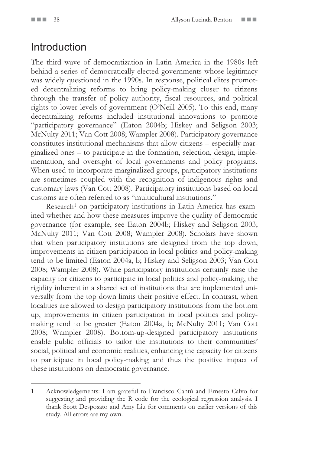$\overline{a}$ 

## Introduction

The third wave of democratization in Latin America in the 1980s left behind a series of democratically elected governments whose legitimacy was widely questioned in the 1990s. In response, political elites promoted decentralizing reforms to bring policy-making closer to citizens through the transfer of policy authority, fiscal resources, and political rights to lower levels of government (O'Neill 2005). To this end, many decentralizing reforms included institutional innovations to promote "participatory governance" (Eaton 2004b; Hiskey and Seligson 2003; McNulty 2011; Van Cott 2008; Wampler 2008). Participatory governance constitutes institutional mechanisms that allow citizens – especially marginalized ones – to participate in the formation, selection, design, implementation, and oversight of local governments and policy programs. When used to incorporate marginalized groups, participatory institutions are sometimes coupled with the recognition of indigenous rights and customary laws (Van Cott 2008). Participatory institutions based on local customs are often referred to as "multicultural institutions."

Research<sup>1</sup> on participatory institutions in Latin America has examined whether and how these measures improve the quality of democratic governance (for example, see Eaton 2004b; Hiskey and Seligson 2003; McNulty 2011; Van Cott 2008; Wampler 2008). Scholars have shown that when participatory institutions are designed from the top down, improvements in citizen participation in local politics and policy-making tend to be limited (Eaton 2004a, b; Hiskey and Seligson 2003; Van Cott 2008; Wampler 2008). While participatory institutions certainly raise the capacity for citizens to participate in local politics and policy-making, the rigidity inherent in a shared set of institutions that are implemented universally from the top down limits their positive effect. In contrast, when localities are allowed to design participatory institutions from the bottom up, improvements in citizen participation in local politics and policymaking tend to be greater (Eaton 2004a, b; McNulty 2011; Van Cott 2008; Wampler 2008). Bottom-up-designed participatory institutions enable public officials to tailor the institutions to their communities' social, political and economic realities, enhancing the capacity for citizens to participate in local policy-making and thus the positive impact of these institutions on democratic governance.

<sup>1</sup> Acknowledgements: I am grateful to Francisco Cantú and Ernesto Calvo for suggesting and providing the R code for the ecological regression analysis. I thank Scott Desposato and Amy Liu for comments on earlier versions of this study. All errors are my own.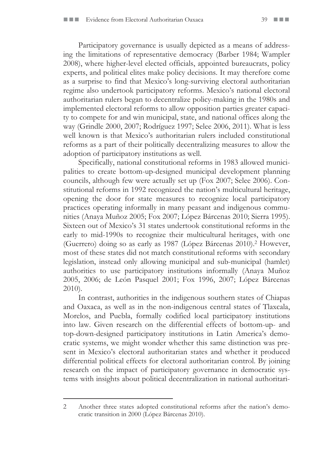Participatory governance is usually depicted as a means of addressing the limitations of representative democracy (Barber 1984; Wampler 2008), where higher-level elected officials, appointed bureaucrats, policy experts, and political elites make policy decisions. It may therefore come as a surprise to find that Mexico's long-surviving electoral authoritarian regime also undertook participatory reforms. Mexico's national electoral authoritarian rulers began to decentralize policy-making in the 1980s and implemented electoral reforms to allow opposition parties greater capacity to compete for and win municipal, state, and national offices along the way (Grindle 2000, 2007; Rodríguez 1997; Selee 2006, 2011). What is less well known is that Mexico's authoritarian rulers included constitutional reforms as a part of their politically decentralizing measures to allow the adoption of participatory institutions as well.

Specifically, national constitutional reforms in 1983 allowed municipalities to create bottom-up-designed municipal development planning councils, although few were actually set up (Fox 2007; Selee 2006). Constitutional reforms in 1992 recognized the nation's multicultural heritage, opening the door for state measures to recognize local participatory practices operating informally in many peasant and indigenous communities (Anaya Muñoz 2005; Fox 2007; López Bárcenas 2010; Sierra 1995). Sixteen out of Mexico's 31 states undertook constitutional reforms in the early to mid-1990s to recognize their multicultural heritages, with one (Guerrero) doing so as early as 1987 (López Bárcenas 2010).2 However, most of these states did not match constitutional reforms with secondary legislation, instead only allowing municipal and sub-municipal (hamlet) authorities to use participatory institutions informally (Anaya Muñoz 2005, 2006; de León Pasquel 2001; Fox 1996, 2007; López Bárcenas 2010).

In contrast, authorities in the indigenous southern states of Chiapas and Oaxaca, as well as in the non-indigenous central states of Tlaxcala, Morelos, and Puebla, formally codified local participatory institutions into law. Given research on the differential effects of bottom-up- and top-down-designed participatory institutions in Latin America's democratic systems, we might wonder whether this same distinction was present in Mexico's electoral authoritarian states and whether it produced differential political effects for electoral authoritarian control. By joining research on the impact of participatory governance in democratic systems with insights about political decentralization in national authoritari-

 $\overline{a}$ 

<sup>2</sup> Another three states adopted constitutional reforms after the nation's democratic transition in 2000 (López Bárcenas 2010).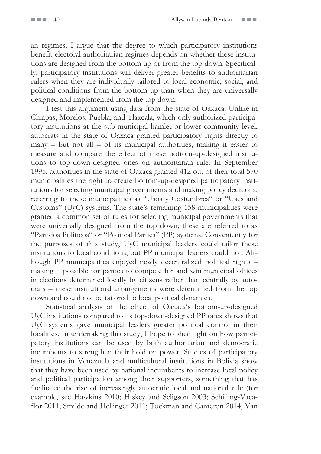an regimes, I argue that the degree to which participatory institutions benefit electoral authoritarian regimes depends on whether these institutions are designed from the bottom up or from the top down. Specifically, participatory institutions will deliver greater benefits to authoritarian rulers when they are individually tailored to local economic, social, and political conditions from the bottom up than when they are universally designed and implemented from the top down.

I test this argument using data from the state of Oaxaca. Unlike in Chiapas, Morelos, Puebla, and Tlaxcala, which only authorized participatory institutions at the sub-municipal hamlet or lower community level, autocrats in the state of Oaxaca granted participatory rights directly to many – but not all – of its municipal authorities, making it easier to measure and compare the effect of these bottom-up-designed institutions to top-down-designed ones on authoritarian rule. In September 1995, authorities in the state of Oaxaca granted 412 out of their total 570 municipalities the right to create bottom-up-designed participatory institutions for selecting municipal governments and making policy decisions, referring to these municipalities as "Usos y Costumbres" or "Uses and Customs" (UyC) systems. The state's remaining 158 municipalities were granted a common set of rules for selecting municipal governments that were universally designed from the top down; these are referred to as "Partidos Políticos" or "Political Parties" (PP) systems. Conveniently for the purposes of this study, UyC municipal leaders could tailor these institutions to local conditions, but PP municipal leaders could not. Although PP municipalities enjoyed newly decentralized political rights – making it possible for parties to compete for and win municipal offices in elections determined locally by citizens rather than centrally by autocrats – these institutional arrangements were determined from the top down and could not be tailored to local political dynamics.

Statistical analysis of the effect of Oaxaca's bottom-up-designed UyC institutions compared to its top-down-designed PP ones shows that UyC systems gave municipal leaders greater political control in their localities. In undertaking this study, I hope to shed light on how participatory institutions can be used by both authoritarian and democratic incumbents to strengthen their hold on power. Studies of participatory institutions in Venezuela and multicultural institutions in Bolivia show that they have been used by national incumbents to increase local policy and political participation among their supporters, something that has facilitated the rise of increasingly autocratic local and national rule (for example, see Hawkins 2010; Hiskey and Seligson 2003; Schilling-Vacaflor 2011; Smilde and Hellinger 2011; Tockman and Cameron 2014; Van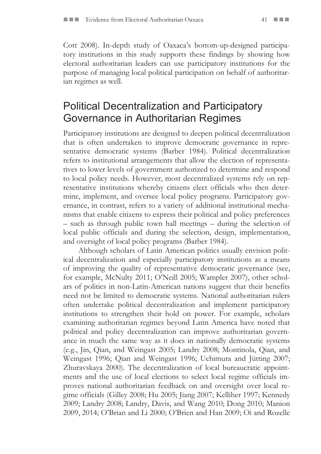--

Cott 2008). In-depth study of Oaxaca's bottom-up-designed participatory institutions in this study supports these findings by showing how electoral authoritarian leaders can use participatory institutions for the purpose of managing local political participation on behalf of authoritarian regimes as well.

## Political Decentralization and Participatory Governance in Authoritarian Regimes

Participatory institutions are designed to deepen political decentralization that is often undertaken to improve democratic governance in representative democratic systems (Barber 1984). Political decentralization refers to institutional arrangements that allow the election of representatives to lower levels of government authorized to determine and respond to local policy needs. However, most decentralized systems rely on representative institutions whereby citizens elect officials who then determine, implement, and oversee local policy programs. Participatory governance, in contrast, refers to a variety of additional institutional mechanisms that enable citizens to express their political and policy preferences – such as through public town hall meetings – during the selection of local public officials and during the selection, design, implementation, and oversight of local policy programs (Barber 1984).

Although scholars of Latin American politics usually envision political decentralization and especially participatory institutions as a means of improving the quality of representative democratic governance (see, for example, McNulty 2011; O'Neill 2005; Wampler 2007), other scholars of politics in non-Latin-American nations suggest that their benefits need not be limited to democratic systems. National authoritarian rulers often undertake political decentralization and implement participatory institutions to strengthen their hold on power. For example, scholars examining authoritarian regimes beyond Latin America have noted that political and policy decentralization can improve authoritarian governance in much the same way as it does in nationally democratic systems (e.g., Jin, Qian, and Weingast 2005; Landry 2008; Montinola, Qian, and Weingast 1996; Qian and Weingast 1996; Uchimura and Jütting 2007; Zhuravskaya 2000). The decentralization of local bureaucratic appointments and the use of local elections to select local regime officials improves national authoritarian feedback on and oversight over local regime officials (Gilley 2008; Hu 2005; Jiang 2007; Kelliher 1997; Kennedy 2009; Landry 2008; Landry, Davis, and Wang 2010; Dong 2010; Manion 2009, 2014; O'Brian and Li 2000; O'Brien and Han 2009; Oi and Rozelle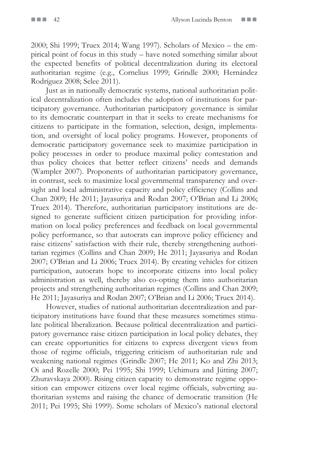2000; Shi 1999; Truex 2014; Wang 1997). Scholars of Mexico – the empirical point of focus in this study – have noted something similar about the expected benefits of political decentralization during its electoral authoritarian regime (e.g., Cornelius 1999; Grindle 2000; Hernández Rodríguez 2008; Selee 2011).

Just as in nationally democratic systems, national authoritarian political decentralization often includes the adoption of institutions for participatory governance. Authoritarian participatory governance is similar to its democratic counterpart in that it seeks to create mechanisms for citizens to participate in the formation, selection, design, implementation, and oversight of local policy programs. However, proponents of democratic participatory governance seek to maximize participation in policy processes in order to produce maximal policy contestation and thus policy choices that better reflect citizens' needs and demands (Wampler 2007). Proponents of authoritarian participatory governance, in contrast, seek to maximize local governmental transparency and oversight and local administrative capacity and policy efficiency (Collins and Chan 2009; He 2011; Jayasuriya and Rodan 2007; O'Brian and Li 2006; Truex 2014). Therefore, authoritarian participatory institutions are designed to generate sufficient citizen participation for providing information on local policy preferences and feedback on local governmental policy performance, so that autocrats can improve policy efficiency and raise citizens' satisfaction with their rule, thereby strengthening authoritarian regimes (Collins and Chan 2009; He 2011; Jayasuriya and Rodan 2007; O'Brian and Li 2006; Truex 2014). By creating vehicles for citizen participation, autocrats hope to incorporate citizens into local policy administration as well, thereby also co-opting them into authoritarian projects and strengthening authoritarian regimes (Collins and Chan 2009; He 2011; Jayasuriya and Rodan 2007; O'Brian and Li 2006; Truex 2014).

However, studies of national authoritarian decentralization and participatory institutions have found that these measures sometimes stimulate political liberalization. Because political decentralization and participatory governance raise citizen participation in local policy debates, they can create opportunities for citizens to express divergent views from those of regime officials, triggering criticism of authoritarian rule and weakening national regimes (Grindle 2007; He 2011; Ko and Zhi 2013; Oi and Rozelle 2000; Pei 1995; Shi 1999; Uchimura and Jütting 2007; Zhuravskaya 2000). Rising citizen capacity to demonstrate regime opposition can empower citizens over local regime officials, subverting authoritarian systems and raising the chance of democratic transition (He 2011; Pei 1995; Shi 1999). Some scholars of Mexico's national electoral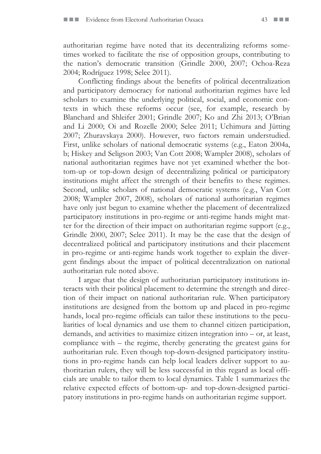authoritarian regime have noted that its decentralizing reforms sometimes worked to facilitate the rise of opposition groups, contributing to the nation's democratic transition (Grindle 2000, 2007; Ochoa-Reza 2004; Rodríguez 1998; Selee 2011).

Conflicting findings about the benefits of political decentralization and participatory democracy for national authoritarian regimes have led scholars to examine the underlying political, social, and economic contexts in which these reforms occur (see, for example, research by Blanchard and Shleifer 2001; Grindle 2007; Ko and Zhi 2013; O'Brian and Li 2000; Oi and Rozelle 2000; Selee 2011; Uchimura and Jütting 2007; Zhuravskaya 2000). However, two factors remain understudied. First, unlike scholars of national democratic systems (e.g., Eaton 2004a, b; Hiskey and Seligson 2003; Van Cott 2008; Wampler 2008), scholars of national authoritarian regimes have not yet examined whether the bottom-up or top-down design of decentralizing political or participatory institutions might affect the strength of their benefits to these regimes. Second, unlike scholars of national democratic systems (e.g., Van Cott 2008; Wampler 2007, 2008), scholars of national authoritarian regimes have only just begun to examine whether the placement of decentralized participatory institutions in pro-regime or anti-regime hands might matter for the direction of their impact on authoritarian regime support (e.g., Grindle 2000, 2007; Selee 2011). It may be the case that the design of decentralized political and participatory institutions and their placement in pro-regime or anti-regime hands work together to explain the divergent findings about the impact of political decentralization on national authoritarian rule noted above.

I argue that the design of authoritarian participatory institutions interacts with their political placement to determine the strength and direction of their impact on national authoritarian rule. When participatory institutions are designed from the bottom up and placed in pro-regime hands, local pro-regime officials can tailor these institutions to the peculiarities of local dynamics and use them to channel citizen participation, demands, and activities to maximize citizen integration into – or, at least, compliance with – the regime, thereby generating the greatest gains for authoritarian rule. Even though top-down-designed participatory institutions in pro-regime hands can help local leaders deliver support to authoritarian rulers, they will be less successful in this regard as local officials are unable to tailor them to local dynamics. Table 1 summarizes the relative expected effects of bottom-up- and top-down-designed participatory institutions in pro-regime hands on authoritarian regime support.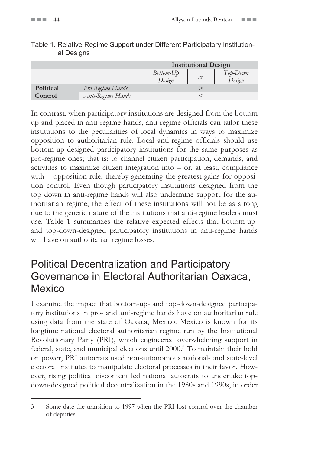$\overline{a}$ 

|           |                   | <b>Institutional Design</b> |                |                    |  |  |
|-----------|-------------------|-----------------------------|----------------|--------------------|--|--|
|           |                   | Bottom-Up<br>Design         | $\mathit{vs.}$ | Top-Down<br>Design |  |  |
| Political | Pro-Regime Hands  |                             |                |                    |  |  |
| Control   | Anti-Regime Hands |                             |                |                    |  |  |

Table 1. Relative Regime Support under Different Participatory Institutional Designs

In contrast, when participatory institutions are designed from the bottom up and placed in anti-regime hands, anti-regime officials can tailor these institutions to the peculiarities of local dynamics in ways to maximize opposition to authoritarian rule. Local anti-regime officials should use bottom-up-designed participatory institutions for the same purposes as pro-regime ones; that is: to channel citizen participation, demands, and activities to maximize citizen integration into – or, at least, compliance with – opposition rule, thereby generating the greatest gains for opposition control. Even though participatory institutions designed from the top down in anti-regime hands will also undermine support for the authoritarian regime, the effect of these institutions will not be as strong due to the generic nature of the institutions that anti-regime leaders must use. Table 1 summarizes the relative expected effects that bottom-upand top-down-designed participatory institutions in anti-regime hands will have on authoritarian regime losses.

## Political Decentralization and Participatory Governance in Electoral Authoritarian Oaxaca, Mexico

I examine the impact that bottom-up- and top-down-designed participatory institutions in pro- and anti-regime hands have on authoritarian rule using data from the state of Oaxaca, Mexico. Mexico is known for its longtime national electoral authoritarian regime run by the Institutional Revolutionary Party (PRI), which engineered overwhelming support in federal, state, and municipal elections until 2000.3 To maintain their hold on power, PRI autocrats used non-autonomous national- and state-level electoral institutes to manipulate electoral processes in their favor. However, rising political discontent led national autocrats to undertake topdown-designed political decentralization in the 1980s and 1990s, in order

<sup>3</sup> Some date the transition to 1997 when the PRI lost control over the chamber of deputies.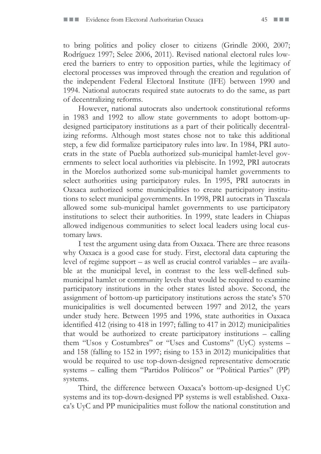to bring politics and policy closer to citizens (Grindle 2000, 2007; Rodríguez 1997; Selee 2006, 2011). Revised national electoral rules lowered the barriers to entry to opposition parties, while the legitimacy of electoral processes was improved through the creation and regulation of the independent Federal Electoral Institute (IFE) between 1990 and 1994. National autocrats required state autocrats to do the same, as part of decentralizing reforms.

However, national autocrats also undertook constitutional reforms in 1983 and 1992 to allow state governments to adopt bottom-updesigned participatory institutions as a part of their politically decentralizing reforms. Although most states chose not to take this additional step, a few did formalize participatory rules into law. In 1984, PRI autocrats in the state of Puebla authorized sub-municipal hamlet-level governments to select local authorities via plebiscite. In 1992, PRI autocrats in the Morelos authorized some sub-municipal hamlet governments to select authorities using participatory rules. In 1995, PRI autocrats in Oaxaca authorized some municipalities to create participatory institutions to select municipal governments. In 1998, PRI autocrats in Tlaxcala allowed some sub-municipal hamlet governments to use participatory institutions to select their authorities. In 1999, state leaders in Chiapas allowed indigenous communities to select local leaders using local customary laws.

I test the argument using data from Oaxaca. There are three reasons why Oaxaca is a good case for study. First, electoral data capturing the level of regime support – as well as crucial control variables – are available at the municipal level, in contrast to the less well-defined submunicipal hamlet or community levels that would be required to examine participatory institutions in the other states listed above. Second, the assignment of bottom-up participatory institutions across the state's 570 municipalities is well documented between 1997 and 2012, the years under study here. Between 1995 and 1996, state authorities in Oaxaca identified 412 (rising to 418 in 1997; falling to 417 in 2012) municipalities that would be authorized to create participatory institutions – calling them "Usos y Costumbres" or "Uses and Customs" (UyC) systems – and 158 (falling to 152 in 1997; rising to 153 in 2012) municipalities that would be required to use top-down-designed representative democratic systems – calling them "Partidos Políticos" or "Political Parties" (PP) systems.

Third, the difference between Oaxaca's bottom-up-designed UyC systems and its top-down-designed PP systems is well established. Oaxaca's UyC and PP municipalities must follow the national constitution and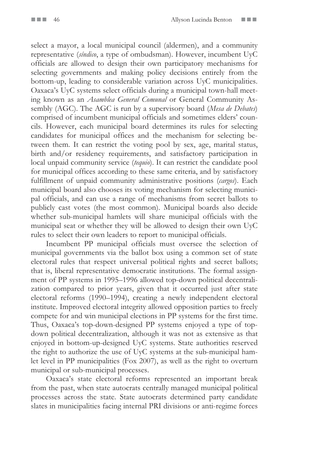select a mayor, a local municipal council (aldermen), and a community representative (*síndico*, a type of ombudsman). However, incumbent UyC officials are allowed to design their own participatory mechanisms for selecting governments and making policy decisions entirely from the bottom-up, leading to considerable variation across UyC municipalities. Oaxaca's UyC systems select officials during a municipal town-hall meeting known as an *Asamblea General Comunal* or General Community Assembly (AGC). The AGC is run by a supervisory board (*Mesa de Debates*) comprised of incumbent municipal officials and sometimes elders' councils. However, each municipal board determines its rules for selecting candidates for municipal offices and the mechanism for selecting between them. It can restrict the voting pool by sex, age, marital status, birth and/or residency requirements, and satisfactory participation in local unpaid community service (*tequio*). It can restrict the candidate pool for municipal offices according to these same criteria, and by satisfactory fulfillment of unpaid community administrative positions (*cargos*). Each municipal board also chooses its voting mechanism for selecting municipal officials, and can use a range of mechanisms from secret ballots to publicly cast votes (the most common). Municipal boards also decide whether sub-municipal hamlets will share municipal officials with the municipal seat or whether they will be allowed to design their own UyC rules to select their own leaders to report to municipal officials.

Incumbent PP municipal officials must oversee the selection of municipal governments via the ballot box using a common set of state electoral rules that respect universal political rights and secret ballots; that is, liberal representative democratic institutions. The formal assignment of PP systems in 1995–1996 allowed top-down political decentralization compared to prior years, given that it occurred just after state electoral reforms (1990–1994), creating a newly independent electoral institute. Improved electoral integrity allowed opposition parties to freely compete for and win municipal elections in PP systems for the first time. Thus, Oaxaca's top-down-designed PP systems enjoyed a type of topdown political decentralization, although it was not as extensive as that enjoyed in bottom-up-designed UyC systems. State authorities reserved the right to authorize the use of UyC systems at the sub-municipal hamlet level in PP municipalities (Fox 2007), as well as the right to overturn municipal or sub-municipal processes.

Oaxaca's state electoral reforms represented an important break from the past, when state autocrats centrally managed municipal political processes across the state. State autocrats determined party candidate slates in municipalities facing internal PRI divisions or anti-regime forces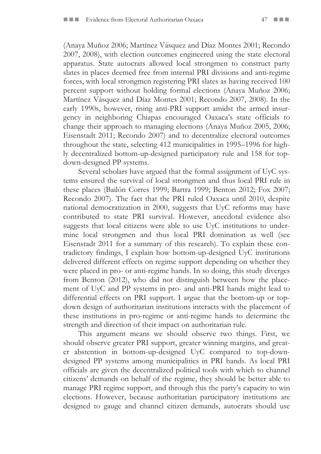(Anaya Muñoz 2006; Martínez Vásquez and Díaz Montes 2001; Recondo 2007, 2008), with election outcomes engineered using the state electoral apparatus. State autocrats allowed local strongmen to construct party slates in places deemed free from internal PRI divisions and anti-regime forces, with local strongmen registering PRI slates as having received 100 percent support without holding formal elections (Anaya Muñoz 2006; Martínez Vásquez and Díaz Montes 2001; Recondo 2007, 2008). In the early 1990s, however, rising anti-PRI support amidst the armed insurgency in neighboring Chiapas encouraged Oaxaca's state officials to change their approach to managing elections (Anaya Muñoz 2005, 2006; Eisenstadt 2011; Recondo 2007) and to decentralize electoral outcomes throughout the state, selecting 412 municipalities in 1995–1996 for highly decentralized bottom-up-designed participatory rule and 158 for topdown-designed PP systems.

Several scholars have argued that the formal assignment of UyC systems ensured the survival of local strongmen and thus local PRI rule in these places (Bailón Corres 1999; Bartra 1999; Benton 2012; Fox 2007; Recondo 2007). The fact that the PRI ruled Oaxaca until 2010, despite national democratization in 2000, suggests that UyC reforms may have contributed to state PRI survival. However, anecdotal evidence also suggests that local citizens were able to use UyC institutions to undermine local strongmen and thus local PRI domination as well (see Eisenstadt 2011 for a summary of this research). To explain these contradictory findings, I explain how bottom-up-designed UyC institutions delivered different effects on regime support depending on whether they were placed in pro- or anti-regime hands. In so doing, this study diverges from Benton (2012), who did not distinguish between how the placement of UyC and PP systems in pro- and anti-PRI hands might lead to differential effects on PRI support. I argue that the bottom-up or topdown design of authoritarian institutions interacts with the placement of these institutions in pro-regime or anti-regime hands to determine the strength and direction of their impact on authoritarian rule.

This argument means we should observe two things. First, we should observe greater PRI support, greater winning margins, and greater abstention in bottom-up-designed UyC compared to top-downdesigned PP systems among municipalities in PRI hands. As local PRI officials are given the decentralized political tools with which to channel citizens' demands on behalf of the regime, they should be better able to manage PRI regime support, and through this the party's capacity to win elections. However, because authoritarian participatory institutions are designed to gauge and channel citizen demands, autocrats should use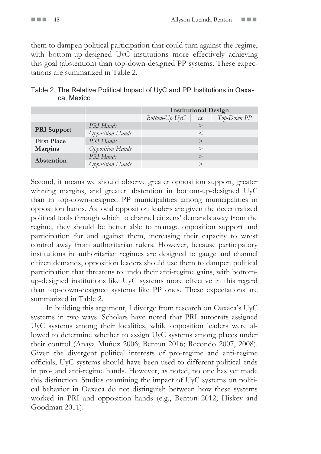them to dampen political participation that could turn against the regime, with bottom-up-designed UyC institutions more effectively achieving this goal (abstention) than top-down-designed PP systems. These expectations are summarized in Table 2.

| Table 2. The Relative Political Impact of UyC and PP Institutions in Oaxa- |  |  |
|----------------------------------------------------------------------------|--|--|
| ca. Mexico                                                                 |  |  |

|                    |                  | <b>Institutional Design</b>               |  |  |  |  |
|--------------------|------------------|-------------------------------------------|--|--|--|--|
|                    |                  | Bottom-Up $U\gamma C$   vs.   Top-Down PP |  |  |  |  |
| <b>PRI</b> Support | PRI Hands        |                                           |  |  |  |  |
|                    | Opposition Hands |                                           |  |  |  |  |
| <b>First Place</b> | PRI Hands        | $\check{~}$                               |  |  |  |  |
| <b>Margins</b>     | Opposition Hands | ↘                                         |  |  |  |  |
| Abstention         | PRI Hands        |                                           |  |  |  |  |
|                    | Opposition Hands |                                           |  |  |  |  |

Second, it means we should observe greater opposition support, greater winning margins, and greater abstention in bottom-up-designed UyC than in top-down-designed PP municipalities among municipalities in opposition hands. As local opposition leaders are given the decentralized political tools through which to channel citizens' demands away from the regime, they should be better able to manage opposition support and participation for and against them, increasing their capacity to wrest control away from authoritarian rulers. However, because participatory institutions in authoritarian regimes are designed to gauge and channel citizen demands, opposition leaders should use them to dampen political participation that threatens to undo their anti-regime gains, with bottomup-designed institutions like UyC systems more effective in this regard than top-down-designed systems like PP ones. These expectations are summarized in Table 2.

In building this argument, I diverge from research on Oaxaca's UyC systems in two ways. Scholars have noted that PRI autocrats assigned UyC systems among their localities, while opposition leaders were allowed to determine whether to assign UyC systems among places under their control (Anaya Muñoz 2006; Benton 2016; Recondo 2007, 2008). Given the divergent political interests of pro-regime and anti-regime officials, UyC systems should have been used to different political ends in pro- and anti-regime hands. However, as noted, no one has yet made this distinction. Studies examining the impact of UyC systems on political behavior in Oaxaca do not distinguish between how these systems worked in PRI and opposition hands (e.g., Benton 2012; Hiskey and Goodman 2011).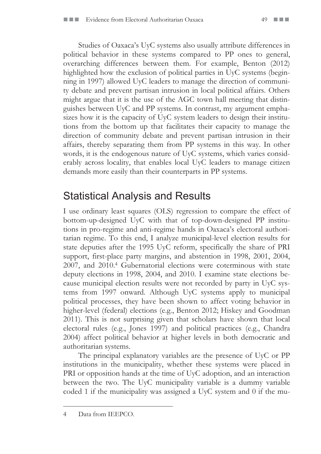Studies of Oaxaca's UyC systems also usually attribute differences in political behavior in these systems compared to PP ones to general, overarching differences between them. For example, Benton (2012) highlighted how the exclusion of political parties in UyC systems (beginning in 1997) allowed UyC leaders to manage the direction of community debate and prevent partisan intrusion in local political affairs. Others might argue that it is the use of the AGC town hall meeting that distinguishes between UyC and PP systems. In contrast, my argument emphasizes how it is the capacity of UyC system leaders to design their institutions from the bottom up that facilitates their capacity to manage the direction of community debate and prevent partisan intrusion in their affairs, thereby separating them from PP systems in this way. In other words, it is the endogenous nature of UyC systems, which varies considerably across locality, that enables local UyC leaders to manage citizen demands more easily than their counterparts in PP systems.

## Statistical Analysis and Results

I use ordinary least squares (OLS) regression to compare the effect of bottom-up-designed UyC with that of top-down-designed PP institutions in pro-regime and anti-regime hands in Oaxaca's electoral authoritarian regime. To this end, I analyze municipal-level election results for state deputies after the 1995 UyC reform, specifically the share of PRI support, first-place party margins, and abstention in 1998, 2001, 2004, 2007, and 2010.4 Gubernatorial elections were coterminous with state deputy elections in 1998, 2004, and 2010. I examine state elections because municipal election results were not recorded by party in UyC systems from 1997 onward. Although UyC systems apply to municipal political processes, they have been shown to affect voting behavior in higher-level (federal) elections (e.g., Benton 2012; Hiskey and Goodman 2011). This is not surprising given that scholars have shown that local electoral rules (e.g., Jones 1997) and political practices (e.g., Chandra 2004) affect political behavior at higher levels in both democratic and authoritarian systems.

The principal explanatory variables are the presence of UyC or PP institutions in the municipality, whether these systems were placed in PRI or opposition hands at the time of UyC adoption, and an interaction between the two. The UyC municipality variable is a dummy variable coded 1 if the municipality was assigned a UyC system and 0 if the mu-

 $\overline{a}$ 

<sup>4</sup> Data from IEEPCO.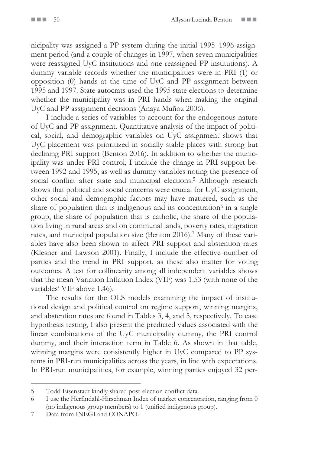nicipality was assigned a PP system during the initial 1995–1996 assignment period (and a couple of changes in 1997, when seven municipalities were reassigned UyC institutions and one reassigned PP institutions). A dummy variable records whether the municipalities were in PRI (1) or opposition (0) hands at the time of UyC and PP assignment between 1995 and 1997. State autocrats used the 1995 state elections to determine whether the municipality was in PRI hands when making the original UyC and PP assignment decisions (Anaya Muñoz 2006).

I include a series of variables to account for the endogenous nature of UyC and PP assignment. Quantitative analysis of the impact of political, social, and demographic variables on UyC assignment shows that UyC placement was prioritized in socially stable places with strong but declining PRI support (Benton 2016). In addition to whether the municipality was under PRI control, I include the change in PRI support between 1992 and 1995, as well as dummy variables noting the presence of social conflict after state and municipal elections.<sup>5</sup> Although research shows that political and social concerns were crucial for UyC assignment, other social and demographic factors may have mattered, such as the share of population that is indigenous and its concentration<sup>6</sup> in a single group, the share of population that is catholic, the share of the population living in rural areas and on communal lands, poverty rates, migration rates, and municipal population size (Benton 2016).7 Many of these variables have also been shown to affect PRI support and abstention rates (Klesner and Lawson 2001). Finally, I include the effective number of parties and the trend in PRI support, as these also matter for voting outcomes. A test for collinearity among all independent variables shows that the mean Variation Inflation Index (VIF) was 1.53 (with none of the variables' VIF above 1.46).

The results for the OLS models examining the impact of institutional design and political control on regime support, winning margins, and abstention rates are found in Tables 3, 4, and 5, respectively. To ease hypothesis testing, I also present the predicted values associated with the linear combinations of the UyC municipality dummy, the PRI control dummy, and their interaction term in Table 6. As shown in that table, winning margins were consistently higher in UyC compared to PP systems in PRI-run municipalities across the years, in line with expectations. In PRI-run municipalities, for example, winning parties enjoyed 32 per-

 $\overline{a}$ 

<sup>5</sup> Todd Eisenstadt kindly shared post-election conflict data.

<sup>6</sup> I use the Herfindahl-Hirschman Index of market concentration, ranging from 0 (no indigenous group members) to 1 (unified indigenous group).

<sup>7</sup> Data from INEGI and CONAPO.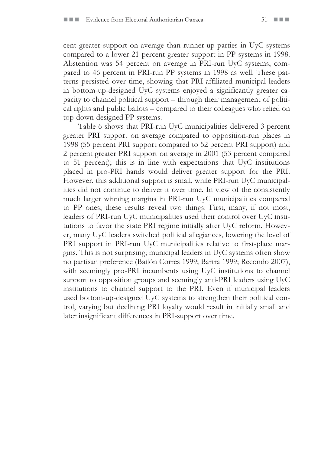cent greater support on average than runner-up parties in UyC systems compared to a lower 21 percent greater support in PP systems in 1998. Abstention was 54 percent on average in PRI-run UyC systems, compared to 46 percent in PRI-run PP systems in 1998 as well. These patterns persisted over time, showing that PRI-affiliated municipal leaders in bottom-up-designed UyC systems enjoyed a significantly greater capacity to channel political support – through their management of political rights and public ballots – compared to their colleagues who relied on top-down-designed PP systems.

Table 6 shows that PRI-run UyC municipalities delivered 3 percent greater PRI support on average compared to opposition-run places in 1998 (55 percent PRI support compared to 52 percent PRI support) and 2 percent greater PRI support on average in 2001 (53 percent compared to 51 percent); this is in line with expectations that UyC institutions placed in pro-PRI hands would deliver greater support for the PRI. However, this additional support is small, while PRI-run UyC municipalities did not continue to deliver it over time. In view of the consistently much larger winning margins in PRI-run UyC municipalities compared to PP ones, these results reveal two things. First, many, if not most, leaders of PRI-run UyC municipalities used their control over UyC institutions to favor the state PRI regime initially after UyC reform. However, many UyC leaders switched political allegiances, lowering the level of PRI support in PRI-run UyC municipalities relative to first-place margins. This is not surprising; municipal leaders in UyC systems often show no partisan preference (Bailón Corres 1999; Bartra 1999; Recondo 2007), with seemingly pro-PRI incumbents using UyC institutions to channel support to opposition groups and seemingly anti-PRI leaders using UyC institutions to channel support to the PRI. Even if municipal leaders used bottom-up-designed UyC systems to strengthen their political control, varying but declining PRI loyalty would result in initially small and later insignificant differences in PRI-support over time.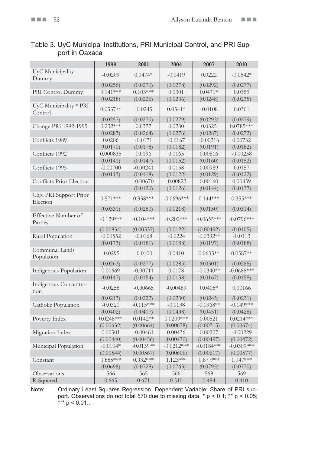|                                    | 1998        | 2001        | 2004         | 2007         | 2010         |
|------------------------------------|-------------|-------------|--------------|--------------|--------------|
| UyC Municipality<br>Dummy          | $-0.0209$   | $0.0474*$   | $-0.0419$    | 0.0222       | $-0.0542*$   |
|                                    | (0.0256)    | (0.0270)    | (0.0278)     | (0.0292)     | (0.0277)     |
| PRI Control Dummy                  | $0.141***$  | $0.103***$  | 0.0301       | $0.0471*$    | 0.0359       |
|                                    | (0.0218)    | (0.0226)    | (0.0236)     | (0.0248)     | (0.0235)     |
| UyC Municipality * PRI<br>Control  | $0.0537**$  | $-0.0245$   | $0.0541*$    | $-0.0108$    | 0.0301       |
|                                    | (0.0257)    | (0.0270)    | (0.0279)     | (0.0293)     | (0.0279)     |
| Change PRI 1992-1995               | $0.232***$  | 0.0377      | 0.0230       | 0.0325       | $0.0785***$  |
|                                    | (0.0283)    | (0.0264)    | (0.0276)     | (0.0287)     | (0.0272)     |
| Conflicts 1989                     | 0.0206      | $-0.0171$   | $-0.0167$    | $-0.00216$   | 0.00732      |
|                                    | (0.0170)    | (0.0178)    | (0.0182)     | (0.0191)     | (0.0182)     |
| Conflicts 1992                     | 0.000835    | 0.0196      | 0.0165       | 0.00816      | $-0.00258$   |
|                                    | (0.0141)    | (0.0147)    | (0.0152)     | (0.0160)     | (0.0152)     |
| Conflicts 1995                     | $-0.00700$  | $-0.00241$  | 0.0158       | 0.00989      | 0.0157       |
|                                    | (0.0113)    | (0.0118)    | (0.0122)     | (0.0129)     | (0.0122)     |
| Conflicts Prior Election           |             | $-0.00670$  | $-0.00823$   | 0.00160      | 0.00859      |
|                                    |             | (0.0120)    | (0.0126)     | (0.0144)     | (0.0137)     |
| Chg. PRI Support Prior<br>Election | $0.571***$  | $0.338***$  | $-0.0696***$ | $0.144***$   | $0.355***$   |
|                                    | (0.0331)    | (0.0280)    | (0.0218)     | (0.0150)     | (0.0314)     |
| Effective Number of<br>Parties     | $-0.129***$ | $-0.104***$ | $-0.202***$  | $-0.0655***$ | $-0.0796***$ |
|                                    | (0.00834)   | (0.00537)   | (0.0122)     | (0.00492)    | (0.0105)     |
| Rural Population                   | $-0.00552$  | $-0.0168$   | $-0.0224$    | $-0.0392**$  | $-0.0113$    |
|                                    | (0.0173)    | (0.0181)    | (0.0188)     | (0.0197)     | (0.0188)     |
| Communal Lands<br>Population       | $-0.0295$   | $-0.0100$   | 0.0410       | $0.0635**$   | $0.0587**$   |
|                                    | (0.0263)    | (0.0277)    | (0.0285)     | (0.0301)     | (0.0286)     |
| Indigenous Population              | 0.00669     | $-0.00711$  | 0.0178       | $-0.0340**$  | $-0.0688***$ |
|                                    | (0.0147)    | (0.0154)    | (0.0158)     | (0.0167)     | (0.0158)     |
| Indigenous Concentra-<br>tion      | $-0.0258$   | $-0.00665$  | $-0.00489$   | $0.0405*$    | 0.00166      |
|                                    | (0.0213)    | (0.0222)    | (0.0230)     | (0.0245)     | (0.0231)     |
| Catholic Population                | $-0.0321$   | $-0.115***$ | $-0.0138$    | $-0.0968**$  | $-0.149***$  |
|                                    | (0.0402)    | (0.0417)    | (0.0438)     | (0.0451)     | (0.0428)     |
| Poverty Index                      | $0.0248***$ | $0.0142**$  | $0.0209***$  | 0.00521      | $0.0214***$  |
|                                    | (0.00632)   | (0.00664)   | (0.00678)    | (0.00715)    | (0.00674)    |
| Migration Index                    | 0.00301     | $-0.00461$  | 0.00436      | 0.00207      | $-0.00229$   |
|                                    | (0.00440)   | (0.00456)   | (0.00470)    | (0.00497)    | (0.00472)    |
| Municipal Population               | $-0.0104*$  | $-0.0139**$ | $-0.0212***$ | $-0.0184***$ | $-0.0309***$ |
|                                    | (0.00544)   | (0.00567)   | (0.00606)    | (0.00617)    | (0.00577)    |
| Constant                           | $0.885***$  | $0.932***$  | $1.123***$   | $0.877***$   | 1.047***     |
|                                    | (0.0698)    | (0.0728)    | (0.0763)     | (0.0795)     | (0.0770)     |
| Observations                       | 566         | 565         | 566          | 568          | 569          |

Table 3. UyC Municipal Institutions, PRI Municipal Control, and PRI Support in Oaxaca

Note: Ordinary Least Squares Regression. Dependent Variable: Share of PRI support. Observations do not total 570 due to missing data. \* p < 0.1; \*\* p < 0.05; \*\*\* p < 0.01..

R-Squared 0.665 0.671 0.510 0.484 0.410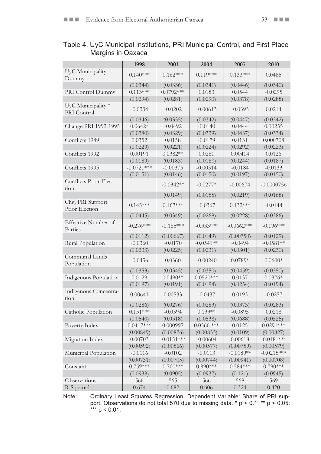|                                    | 1998         | 2001         | 2004         | 2007         | 2010         |
|------------------------------------|--------------|--------------|--------------|--------------|--------------|
| UyC Municipality<br>Dummy          | $0.140***$   | $0.162***$   | $0.119***$   | $0.133***$   | 0.0485       |
|                                    | (0.0344)     | (0.0336)     | (0.0341)     | (0.0446)     | (0.0340)     |
| PRI Control Dummy                  | $0.113***$   | $0.0792***$  | 0.0183       | 0.0544       | $-0.0295$    |
|                                    | (0.0294)     | (0.0281)     | (0.0290)     | (0.0378)     | (0.0288)     |
| UyC Municipality *<br>PRI Control  | $-0.0334$    | $-0.0202$    | $-0.00613$   | $-0.0393$    | 0.0214       |
|                                    | (0.0346)     | (0.0335)     | (0.0342)     | (0.0447)     | (0.0342)     |
| Change PRI 1992-1995               | $0.0642*$    | $-0.0492$    | $-0.0140$    | 0.0444       | 0.00255      |
|                                    | (0.0380)     | (0.0329)     | (0.0339)     | (0.0437)     | (0.0334)     |
| Conflicts 1989                     | 0.0352       | 0.0158       | $-0.0179$    | 0.0131       | 0.000708     |
|                                    | (0.0229)     | (0.0221)     | (0.0224)     | (0.0292)     | (0.0223)     |
| Conflicts 1992                     | 0.00191      | $0.0382**$   | 0.0281       | 0.00414      | 0.0126       |
|                                    | (0.0189)     | (0.0183)     | (0.0187)     | (0.0244)     | (0.0187)     |
| Conflicts 1995                     | $-0.0721***$ | $-0.00375$   | $-0.00314$   | $-0.0184$    | $-0.0133$    |
|                                    | (0.0151)     | (0.0146)     | (0.0150)     | (0.0197)     | (0.0150)     |
| Conflicts Prior Elec-<br>tion      |              | $-0.0342**$  | $-0.0277*$   | $-0.00674$   | $-0.0000756$ |
|                                    |              | (0.0149)     | (0.0155)     | (0.0219)     | (0.0168)     |
| Chg. PRI Support<br>Prior Election | $0.145***$   | $0.167***$   | $-0.0367$    | $0.132***$   | $-0.0144$    |
|                                    | (0.0445)     | (0.0349)     | (0.0268)     | (0.0228)     | (0.0386)     |
| Effective Number of<br>Parties     | $-0.276***$  | $-0.165***$  | $-0.333***$  | $-0.0662***$ | $-0.196***$  |
|                                    | (0.0112)     | (0.00667)    | (0.0149)     | (0.00750)    | (0.0129)     |
| Rural Population                   | $-0.0360$    | $-0.0170$    | $-0.0541**$  | $-0.0494$    | $-0.0581**$  |
|                                    | (0.0233)     | (0.0225)     | (0.0231)     | (0.0301)     | (0.0230)     |
| Communal Lands<br>Population       | $-0.0456$    | 0.0360       | $-0.00240$   | $0.0789*$    | $0.0600*$    |
|                                    | (0.0353)     | (0.0345)     | (0.0350)     | (0.0459)     | (0.0350)     |
| Indigenous Population              | 0.0129       | $0.0490**$   | $0.0520***$  | 0.0137       | $0.0376*$    |
|                                    | (0.0197)     | (0.0191)     | (0.0194)     | (0.0254)     | (0.0194)     |
| Indigenous Concentra-<br>tion      | 0.00641      | 0.00533      | $-0.0437$    | 0.0193       | $-0.0257$    |
|                                    | (0.0286)     | (0.0276)     | (0.0283)     | (0.0373)     | (0.0283)     |
| Catholic Population                | $0.151***$   | $-0.0594$    | $0.133**$    | $-0.0895$    | 0.0218       |
|                                    | (0.0540)     | (0.0518)     | (0.0538)     | (0.0688)     | (0.0525)     |
| Poverty Index                      | $0.0417***$  | 0.000997     | $0.0566$ *** | 0.0125       | $0.0291***$  |
|                                    | (0.00849)    | (0.00826)    | (0.00833)    | (0.0109)     | (0.00827)    |
| Migration Index                    | 0.00703      | $-0.0151***$ | $-0.00604$   | 0.00618      | $-0.0181***$ |
|                                    | (0.00592)    | (0.00566)    | (0.00577)    | (0.00759)    | (0.00579)    |
| Municipal Population               | $-0.0116$    | $-0.0102$    | $-0.0113$    | $-0.0189**$  | $-0.0215***$ |
|                                    | (0.00731)    | (0.00705)    | (0.00744)    | (0.00941)    | (0.00708)    |
| Constant                           | $0.759***$   | $0.700***$   | $0.890***$   | $0.584***$   | $0.790***$   |
|                                    | (0.0938)     | (0.0905)     | (0.0937)     | (0.121)      | (0.0945)     |
| Observations                       | 566          | 565          | 566          | 568          | 569          |
| R-Squared                          | 0.674        | 0.682        | 0.606        | 0.324        | 0.420        |

#### Table 4. UyC Municipal Institutions, PRI Municipal Control, and First Place Margins in Oaxaca

Note: Ordinary Least Squares Regression. Dependent Variable: Share of PRI support. Observations do not total 570 due to missing data. \* p < 0.1; \*\* p < 0.05; \*\*\*  $p < 0.01$ .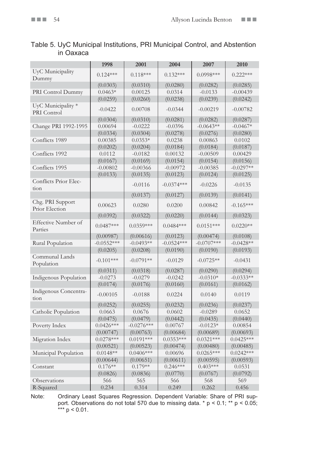|                                    | 1998         | 2001         | 2004         | 2007         | 2010        |
|------------------------------------|--------------|--------------|--------------|--------------|-------------|
| UyC Municipality<br>Dummy          | $0.124***$   | $0.118***$   | $0.132***$   | $0.0998***$  | $0.222***$  |
|                                    | (0.0303)     | (0.0310)     | (0.0280)     | (0.0282)     | (0.0285)    |
| PRI Control Dummy                  | $0.0463*$    | 0.00125      | 0.0314       | $-0.0133$    | $-0.00439$  |
|                                    | (0.0259)     | (0.0260)     | (0.0238)     | (0.0239)     | (0.0242)    |
| UyC Municipality *<br>PRI Control  | $-0.0422$    | 0.00708      | $-0.0344$    | $-0.00219$   | $-0.00782$  |
|                                    | (0.0304)     | (0.0310)     | (0.0281)     | (0.0282)     | (0.0287)    |
| Change PRI 1992-1995               | 0.00694      | $-0.0222$    | $-0.0396$    | $-0.0643**$  | $-0.0467*$  |
|                                    | (0.0334)     | (0.0304)     | (0.0278)     | (0.0276)     | (0.0280)    |
| Conflicts 1989                     | 0.00385      | $0.0353*$    | 0.0238       | 0.00863      | 0.0102      |
|                                    | (0.0202)     | (0.0204)     | (0.0184)     | (0.0184)     | (0.0187)    |
| Conflicts 1992                     | 0.0112       | $-0.0182$    | 0.00132      | $-0.00509$   | 0.00429     |
|                                    | (0.0167)     | (0.0169)     | (0.0154)     | (0.0154)     | (0.0156)    |
| Conflicts 1995                     | $-0.00802$   | $-0.00366$   | $-0.00972$   | $-0.00385$   | $-0.0297**$ |
|                                    | (0.0133)     | (0.0135)     | (0.0123)     | (0.0124)     | (0.0125)    |
| Conflicts Prior Elec-<br>tion      |              | $-0.0116$    | $-0.0374***$ | $-0.0226$    | $-0.0135$   |
|                                    |              | (0.0137)     | (0.0127)     | (0.0139)     | (0.0141)    |
| Chg. PRI Support<br>Prior Election | 0.00623      | 0.0280       | 0.0200       | 0.00842      | $-0.165***$ |
|                                    | (0.0392)     | (0.0322)     | (0.0220)     | (0.0144)     | (0.0323)    |
| Effective Number of<br>Parties     | $0.0487***$  | $0.0359***$  | $0.0484***$  | $0.0151***$  | $0.0220**$  |
|                                    | (0.00987)    | (0.00616)    | (0.0123)     | (0.00474)    | (0.0108)    |
| Rural Population                   | $-0.0552***$ | $-0.0493**$  | $-0.0524***$ | $-0.0707***$ | $-0.0428**$ |
|                                    | (0.0205)     | (0.0208)     | (0.0190)     | (0.0190)     | (0.0193)    |
| Communal Lands<br>Population       | $-0.101***$  | $-0.0791**$  | $-0.0129$    | $-0.0725**$  | $-0.0431$   |
|                                    | (0.0311)     | (0.0318)     | (0.0287)     | (0.0290)     | (0.0294)    |
| Indigenous Population              | $-0.0273$    | $-0.0279$    | $-0.0242$    | $-0.0310*$   | $-0.0333**$ |
|                                    | (0.0174)     | (0.0176)     | (0.0160)     | (0.0161)     | (0.0162)    |
| Indigenous Concentra-<br>tion      | $-0.00105$   | $-0.0188$    | 0.0224       | 0.0140       | 0.0119      |
|                                    | (0.0252)     | (0.0255)     | (0.0232)     | (0.0236)     | (0.0237)    |
| Catholic Population                | 0.0663       | 0.0676       | 0.0602       | $-0.0289$    | 0.0652      |
|                                    | (0.0475)     | (0.0479)     | (0.0442)     | (0.0435)     | (0.0440)    |
| Poverty Index                      | $0.0426***$  | $-0.0276***$ | 0.00767      | $-0.0123*$   | 0.00854     |
|                                    | (0.00747)    | (0.00763)    | (0.00684)    | (0.00689)    | (0.00693)   |
| Migration Index                    | $0.0278***$  | $0.0191***$  | $0.0353***$  | $0.0321***$  | $0.0425***$ |
|                                    | (0.00521)    | (0.00523)    | (0.00474)    | (0.00480)    | (0.00485)   |
| Municipal Population               | $0.0148**$   | $0.0406***$  | 0.00696      | $0.0265***$  | $0.0242***$ |
|                                    | (0.00644)    | (0.00651)    | (0.00611)    | (0.00595)    | (0.00593)   |
| Constant                           | $0.176**$    | $0.179**$    | $0.246***$   | $0.403***$   | 0.0531      |
|                                    | (0.0826)     | (0.0836)     | (0.0770)     | (0.0767)     | (0.0792)    |
| Observations                       | 566          | 565          | 566          | 568          | 569         |
| R-Squared                          | 0.234        | 0.314        | 0.249        | 0.262        | 0.456       |

#### Table 5. UyC Municipal Institutions, PRI Municipal Control, and Abstention in Oaxaca

Note: Ordinary Least Squares Regression. Dependent Variable: Share of PRI support. Observations do not total 570 due to missing data. \* p < 0.1; \*\* p < 0.05; \*\*\* p < 0.01.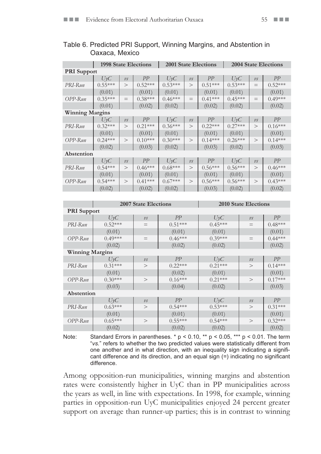| . .<br>× |  |  |
|----------|--|--|

| Table 6. Predicted PRI Support, Winning Margins, and Abstention in |  |  |
|--------------------------------------------------------------------|--|--|
| Oaxaca, Mexico                                                     |  |  |

|                        | <b>1998 State Elections</b> |               |           | <b>2001 State Elections</b> |                    |           |                    |                    | <b>2004 State Elections</b> |
|------------------------|-----------------------------|---------------|-----------|-----------------------------|--------------------|-----------|--------------------|--------------------|-----------------------------|
| <b>PRI</b> Support     |                             |               |           |                             |                    |           |                    |                    |                             |
|                        | $U_{\mathcal{V}}C$          | $\mathit{vs}$ | PP        | $U_{\mathcal{V}}C$          | $\mathit{vs}$      | PP        | $U_{\mathcal{V}}C$ | $\mathit{vs}$      | PP                          |
| PRI-Run                | $0.55***$                   | >             | $0.52***$ | $0.53***$                   | $\geq$             | $0.51***$ | $0.53***$          | $=$                | $0.52***$                   |
|                        | (0.01)                      |               | (0.01)    | (0.01)                      |                    | (0.01)    | (0.01)             |                    | (0.01)                      |
| $OPP-Run$              | $0.35***$                   | $=$           | $0.38***$ | $0.46***$                   | $=$                | $0.41***$ | $0.45***$          | $=$                | $0.49***$                   |
|                        | (0.01)                      |               | (0.02)    | (0.02)                      |                    | (0.02)    | (0.02)             |                    | (0.02)                      |
| <b>Winning Margins</b> |                             |               |           |                             |                    |           |                    |                    |                             |
|                        | $U$ y $C$                   | $\mathit{vs}$ | PP        | U <sub>y</sub> C            | $\mathit{vs}$      | PP        | $U_{\mathcal{V}}C$ | $\mathit{vs}$      | PP                          |
| PRI-Run                | $0.32***$                   | >             | $0.21***$ | $0.36***$                   | $\,>$              | $0.22***$ | $0.27***$          | $\mathbf{I}$       | $0.16***$                   |
|                        | (0.01)                      |               | (0.01)    | (0.01)                      |                    | (0.01)    | (0.01)             |                    | (0.01)                      |
| $OPP-Run$              | $0.24***$                   | >             | $0.10***$ | $0.30***$                   | $\geq$             | $0.14***$ | $0.26***$          | $\gt$              | $0.14***$                   |
|                        | (0.02)                      |               | (0.03)    | (0.02)                      |                    | (0.03)    | (0.02)             |                    | (0.03)                      |
| Abstention             |                             |               |           |                             |                    |           |                    |                    |                             |
|                        | $U$ v $C$                   | $\mathit{vs}$ | PP        | $U$ v $C$                   | $\overline{\nu s}$ | PP        | $U$ v $C$          | $\overline{\nu s}$ | PP                          |
| PRI-Run                | $0.54***$                   | >             | $0.46***$ | $0.68***$                   | $\mathbf{I}$       | $0.56***$ | $0.56***$          | $\mathbf{I}$       | $0.46***$                   |
|                        | (0.01)                      |               | (0.01)    | (0.01)                      |                    | (0.01)    | (0.01)             |                    | (0.01)                      |
| $OPP-Run$              | $0.54***$                   | >             | $0.41***$ | $0.67***$                   | >                  | $0.56***$ | $0.56***$          | $\gt$              | $0.43***$                   |
|                        | (0.02)                      |               | (0.02)    | (0.02)                      |                    | (0.03)    | (0.02)             |                    | (0.02)                      |

|                        | <b>2007 State Elections</b> |                   |           | <b>2010 State Elections</b> |                   |           |
|------------------------|-----------------------------|-------------------|-----------|-----------------------------|-------------------|-----------|
| <b>PRI</b> Support     |                             |                   |           |                             |                   |           |
|                        | $U_{\mathcal{V}}C$          | $v_{\mathcal{S}}$ | PP        | $U$ v $C$                   | $v_{\mathcal{S}}$ | PP        |
| PRI-Run                | $0.52***$                   | $=$               | $0.51***$ | $0.45***$                   | $=$               | $0.48***$ |
|                        | (0.01)                      |                   | (0.01)    | (0.01)                      |                   | (0.01)    |
| $OPP-Run$              | $0.49***$                   | $=$               | $0.46***$ | $0.39***$                   | $=$               | $0.44***$ |
|                        | (0.02)                      |                   | (0.02)    | (0.02)                      |                   | (0.02)    |
| <b>Winning Margins</b> |                             |                   |           |                             |                   |           |
|                        | UyC                         | $\mathit{vs}$     | PP        | $U_{\mathcal{V}}C$          | $\mathit{vs}$     | PP        |
| PRI-Run                | $0.31***$                   | $\gt$             | $0.22***$ | $0.21***$                   | $\gt$             | $0.14***$ |
|                        | (0.01)                      |                   | (0.02)    | (0.01)                      |                   | (0.01)    |
| $OPP-Run$              | $0.30***$                   | $\gt$             | $0.16***$ | $0.21***$                   | >                 | $0.17***$ |
|                        | (0.03)                      |                   | (0.04)    | (0.02)                      |                   | (0.03)    |
| Abstention             |                             |                   |           |                             |                   |           |
|                        | $U_{\mathcal{V}}C$          | $\mathit{vs}$     | PP        | $U_{\mathcal{V}}C$          | $\mathit{vs}$     | PP        |
| PRI-Run                | $0.63***$                   | $\gt$             | $0.54***$ | $0.53***$                   | $\gt$             | $0.31***$ |
|                        | (0.01)                      |                   | (0.01)    | (0.01)                      |                   | (0.01)    |
| $OPP-Run$              | $0.65***$                   | >                 | $0.55***$ | $0.54***$                   | >                 | $0.32***$ |
|                        | (0.02)                      |                   | (0.02)    | (0.02)                      |                   | (0.02)    |

Note: Standard Errors in parentheses. \*  $p < 0.10$ , \*\*  $p < 0.05$ , \*\*\*  $p < 0.01$ . The term "*vs.*" refers to whether the two predicted values were statistically different from one another and in what direction, with an inequality sign indicating a significant difference and its direction, and an equal sign (=) indicating no significant difference.

Among opposition-run municipalities, winning margins and abstention rates were consistently higher in UyC than in PP municipalities across the years as well, in line with expectations. In 1998, for example, winning parties in opposition-run UyC municipalities enjoyed 24 percent greater support on average than runner-up parties; this is in contrast to winning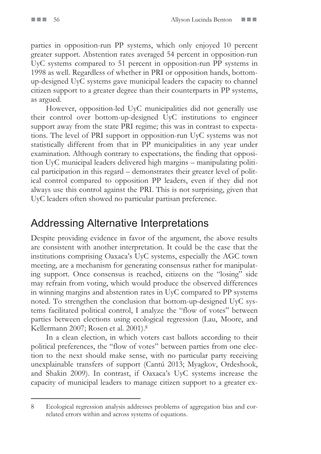$\overline{a}$ 

parties in opposition-run PP systems, which only enjoyed 10 percent greater support. Abstention rates averaged 54 percent in opposition-run UyC systems compared to 51 percent in opposition-run PP systems in 1998 as well. Regardless of whether in PRI or opposition hands, bottomup-designed UyC systems gave municipal leaders the capacity to channel citizen support to a greater degree than their counterparts in PP systems, as argued.

However, opposition-led UyC municipalities did not generally use their control over bottom-up-designed UyC institutions to engineer support away from the state PRI regime; this was in contrast to expectations. The level of PRI support in opposition-run UyC systems was not statistically different from that in PP municipalities in any year under examination. Although contrary to expectations, the finding that opposition UyC municipal leaders delivered high margins – manipulating political participation in this regard – demonstrates their greater level of political control compared to opposition PP leaders, even if they did not always use this control against the PRI. This is not surprising, given that UyC leaders often showed no particular partisan preference.

### Addressing Alternative Interpretations

Despite providing evidence in favor of the argument, the above results are consistent with another interpretation. It could be the case that the institutions comprising Oaxaca's UyC systems, especially the AGC town meeting, are a mechanism for generating consensus rather for manipulating support. Once consensus is reached, citizens on the "losing" side may refrain from voting, which would produce the observed differences in winning margins and abstention rates in UyC compared to PP systems noted. To strengthen the conclusion that bottom-up-designed UyC systems facilitated political control, I analyze the "flow of votes" between parties between elections using ecological regression (Lau, Moore, and Kellermann 2007; Rosen et al. 2001).8

In a clean election, in which voters cast ballots according to their political preferences, the "flow of votes" between parties from one election to the next should make sense, with no particular party receiving unexplainable transfers of support (Cantú 2013; Myagkov, Ordeshook, and Shakin 2009). In contrast, if Oaxaca's UyC systems increase the capacity of municipal leaders to manage citizen support to a greater ex-

<sup>8</sup> Ecological regression analysis addresses problems of aggregation bias and correlated errors within and across systems of equations.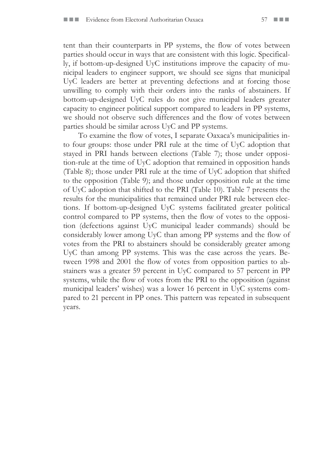tent than their counterparts in PP systems, the flow of votes between parties should occur in ways that are consistent with this logic. Specifically, if bottom-up-designed UyC institutions improve the capacity of municipal leaders to engineer support, we should see signs that municipal UyC leaders are better at preventing defections and at forcing those unwilling to comply with their orders into the ranks of abstainers. If bottom-up-designed UyC rules do not give municipal leaders greater capacity to engineer political support compared to leaders in PP systems, we should not observe such differences and the flow of votes between parties should be similar across UyC and PP systems.

To examine the flow of votes, I separate Oaxaca's municipalities into four groups: those under PRI rule at the time of UyC adoption that stayed in PRI hands between elections (Table 7); those under opposition-rule at the time of UyC adoption that remained in opposition hands (Table 8); those under PRI rule at the time of UyC adoption that shifted to the opposition (Table 9); and those under opposition rule at the time of UyC adoption that shifted to the PRI (Table 10). Table 7 presents the results for the municipalities that remained under PRI rule between elections. If bottom-up-designed UyC systems facilitated greater political control compared to PP systems, then the flow of votes to the opposition (defections against UyC municipal leader commands) should be considerably lower among UyC than among PP systems and the flow of votes from the PRI to abstainers should be considerably greater among UyC than among PP systems. This was the case across the years. Between 1998 and 2001 the flow of votes from opposition parties to abstainers was a greater 59 percent in UyC compared to 57 percent in PP systems, while the flow of votes from the PRI to the opposition (against municipal leaders' wishes) was a lower 16 percent in UyC systems compared to 21 percent in PP ones. This pattern was repeated in subsequent years.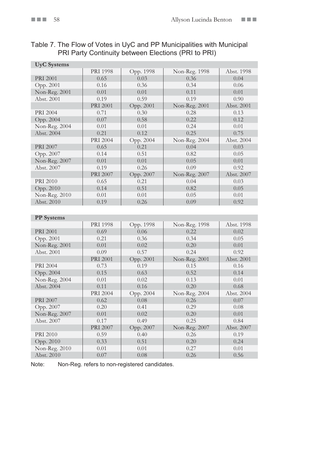| <b>UyC</b> Systems |                 |           |               |            |
|--------------------|-----------------|-----------|---------------|------------|
|                    | <b>PRI 1998</b> | Opp. 1998 | Non-Reg. 1998 | Abst. 1998 |
| <b>PRI 2001</b>    | 0.65            | 0.03      | 0.36          | 0.04       |
| Opp. 2001          | 0.16            | 0.36      | 0.34          | 0.06       |
| Non-Reg. 2001      | 0.01            | 0.01      | 0.11          | 0.01       |
| Abst. 2001         | 0.19            | 0.59      | 0.19          | 0.90       |
|                    | <b>PRI 2001</b> | Opp. 2001 | Non-Reg. 2001 | Abst. 2001 |
| <b>PRI 2004</b>    | 0.71            | 0.30      | 0.28          | 0.13       |
| Opp. 2004          | 0.07            | 0.58      | 0.22          | 0.12       |
| Non-Reg. 2004      | 0.01            | 0.01      | 0.24          | 0.01       |
| Abst. 2004         | 0.21            | 0.12      | 0.25          | 0.75       |
|                    | <b>PRI 2004</b> | Opp. 2004 | Non-Reg. 2004 | Abst. 2004 |
| <b>PRI 2007</b>    | 0.65            | 0.21      | 0.04          | 0.03       |
| Opp. 2007          | 0.14            | 0.51      | 0.82          | 0.05       |
| Non-Reg. 2007      | 0.01            | 0.01      | 0.05          | 0.01       |
| Abst. 2007         | 0.19            | 0.26      | 0.09          | 0.92       |
|                    | <b>PRI 2007</b> | Opp. 2007 | Non-Reg. 2007 | Abst. 2007 |
| <b>PRI 2010</b>    | 0.65            | 0.21      | 0.04          | 0.03       |
| Opp. 2010          | 0.14            | 0.51      | 0.82          | 0.05       |
| Non-Reg. 2010      | 0.01            | 0.01      | 0.05          | 0.01       |
| Abst. 2010         | 0.19            | 0.26      | 0.09          | 0.92       |
|                    |                 |           |               |            |
| <b>PP</b> Systems  |                 |           |               |            |
|                    | <b>PRI 1998</b> | Opp. 1998 | Non-Reg. 1998 | Abst. 1998 |
| <b>PRI 2001</b>    | 0.69            | 0.06      | 0.22          | 0.02       |
| Opp. 2001          | 0.21            | 0.36      | 0.34          | 0.05       |
| Non-Reg. 2001      | 0.01            | 0.02      | 0.20          | 0.01       |
| Abst. 2001         | 0.09            | 0.57      | 0.24          | 0.92       |
|                    | <b>PRI 2001</b> | Opp. 2001 | Non-Reg. 2001 | Abst. 2001 |
| <b>PRI 2004</b>    | 0.73            | 0.19      | 0.15          | 0.16       |
| Opp. 2004          | 0.15            | 0.63      | 0.52          | 0.14       |
| Non-Reg. 2004      | 0.01            | 0.02      | 0.13          | 0.01       |
| Abst. 2004         | 0.11            | 0.16      | 0.20          | 0.68       |
|                    | PRI 2004        | Opp. 2004 | Non-Reg. 2004 | Abst. 2004 |
| <b>PRI 2007</b>    | 0.62            | 0.08      | 0.26          | 0.07       |
| Opp. 2007          | 0.20            | 0.41      | 0.29          | 0.08       |
| Non-Reg. 2007      | 0.01            | 0.02      | 0.20          | 0.01       |
| Abst. 2007         | 0.17            | 0.49      | 0.25          | 0.84       |
|                    | <b>PRI 2007</b> | Opp. 2007 | Non-Reg. 2007 | Abst. 2007 |

PRI 2010 0.59 0.40 0.26 0.26 0.19 Opp. 2010 0.33 0.51 0.20 0.24<br>Non-Reg. 2010 0.01 0.01 0.27 0.01 Non-Reg. 2010 0.01 0.01 0.27 0.01<br>Abst. 2010 0.07 0.08 0.26 0.56 Abst. 2010 (0.07 0.08 0.26 0.26 0.56

#### Table 7. The Flow of Votes in UyC and PP Municipalities with Municipal PRI Party Continuity between Elections (PRI to PRI)

Note: Non-Reg. refers to non-registered candidates.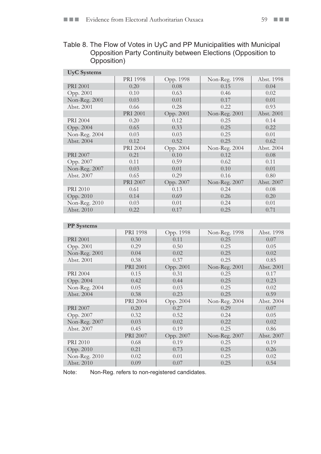#### Table 8. The Flow of Votes in UyC and PP Municipalities with Municipal Opposition Party Continuity between Elections (Opposition to Opposition)

| <b>UyC</b> Systems |                 |           |               |            |
|--------------------|-----------------|-----------|---------------|------------|
|                    | <b>PRI 1998</b> | Opp. 1998 | Non-Reg. 1998 | Abst. 1998 |
| <b>PRI 2001</b>    | 0.20            | 0.08      | 0.15          | 0.04       |
| Opp. 2001          | 0.10            | 0.63      | 0.46          | 0.02       |
| Non-Reg. 2001      | 0.03            | 0.01      | 0.17          | 0.01       |
| Abst. 2001         | 0.66            | 0.28      | 0.22          | 0.93       |
|                    | <b>PRI 2001</b> | Opp. 2001 | Non-Reg. 2001 | Abst. 2001 |
| PRI 2004           | 0.20            | 0.12      | 0.25          | 0.14       |
| Opp. 2004          | 0.65            | 0.33      | 0.25          | 0.22       |
| Non-Reg. 2004      | 0.03            | 0.03      | 0.25          | 0.01       |
| Abst. 2004         | 0.12            | 0.52      | 0.25          | 0.62       |
|                    | PRI 2004        | Opp. 2004 | Non-Reg. 2004 | Abst. 2004 |
| <b>PRI 2007</b>    | 0.21            | 0.10      | 0.12          | 0.08       |
| Opp. 2007          | 0.11            | 0.59      | 0.62          | 0.11       |
| Non-Reg. 2007      | 0.03            | 0.01      | 0.10          | 0.01       |
| Abst. 2007         | 0.65            | 0.29      | 0.16          | 0.80       |
|                    | <b>PRI 2007</b> | Opp. 2007 | Non-Reg. 2007 | Abst. 2007 |
| <b>PRI 2010</b>    | 0.61            | 0.13      | 0.24          | 0.08       |
| Opp. 2010          | 0.14            | 0.69      | 0.26          | 0.20       |
| Non-Reg. 2010      | 0.03            | 0.01      | 0.24          | 0.01       |
| Abst. 2010         | 0.22            | 0.17      | 0.25          | 0.71       |

| <b>PP</b> Systems |                 |           |               |            |
|-------------------|-----------------|-----------|---------------|------------|
|                   | <b>PRI 1998</b> | Opp. 1998 | Non-Reg. 1998 | Abst. 1998 |
| <b>PRI 2001</b>   | 0.30            | 0.11      | 0.25          | 0.07       |
| Opp. 2001         | 0.29            | 0.50      | 0.25          | 0.05       |
| Non-Reg. 2001     | 0.04            | 0.02      | 0.25          | 0.02       |
| Abst. 2001        | 0.38            | 0.37      | 0.25          | 0.85       |
|                   | <b>PRI 2001</b> | Opp. 2001 | Non-Reg. 2001 | Abst. 2001 |
| <b>PRI 2004</b>   | 0.15            | 0.31      | 0.25          | 0.17       |
| Opp. 2004         | 0.42            | 0.44      | 0.25          | 0.23       |
| Non-Reg. 2004     | 0.05            | 0.03      | 0.25          | 0.02       |
| Abst. 2004        | 0.38            | 0.23      | 0.25          | 0.59       |
|                   | <b>PRI 2004</b> | Opp. 2004 | Non-Reg. 2004 | Abst. 2004 |
| <b>PRI 2007</b>   | 0.20            | 0.27      | 0.29          | 0.07       |
| Opp. 2007         | 0.32            | 0.52      | 0.24          | 0.05       |
| Non-Reg. 2007     | 0.03            | 0.02      | 0.22          | 0.02       |
| Abst. 2007        | 0.45            | 0.19      | 0.25          | 0.86       |
|                   | <b>PRI 2007</b> | Opp. 2007 | Non-Reg. 2007 | Abst. 2007 |
| <b>PRI 2010</b>   | 0.68            | 0.19      | 0.25          | 0.19       |
| Opp. 2010         | 0.21            | 0.73      | 0.25          | 0.26       |
| Non-Reg. 2010     | 0.02            | 0.01      | 0.25          | 0.02       |
| Abst. 2010        | 0.09            | 0.07      | 0.25          | 0.54       |

Note: Non-Reg. refers to non-registered candidates.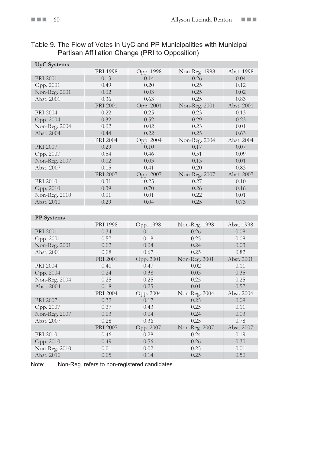| <b>UyC</b> Systems |                 |           |               |            |
|--------------------|-----------------|-----------|---------------|------------|
|                    | <b>PRI 1998</b> | Opp. 1998 | Non-Reg. 1998 | Abst. 1998 |
| <b>PRI 2001</b>    | 0.13            | 0.14      | 0.26          | 0.04       |
| Opp. 2001          | 0.49            | 0.20      | 0.25          | 0.12       |
| Non-Reg. 2001      | 0.02            | 0.03      | 0.25          | 0.02       |
| Abst. 2001         | 0.36            | 0.63      | 0.25          | 0.83       |
|                    | <b>PRI 2001</b> | Opp. 2001 | Non-Reg. 2001 | Abst. 2001 |
| <b>PRI 2004</b>    | 0.22            | 0.25      | 0.23          | 0.13       |
| Opp. 2004          | 0.32            | 0.52      | 0.29          | 0.23       |
| Non-Reg. 2004      | 0.02            | 0.02      | 0.23          | 0.01       |
| Abst. 2004         | 0.44            | 0.22      | 0.25          | 0.63       |
|                    | <b>PRI 2004</b> | Opp. 2004 | Non-Reg. 2004 | Abst. 2004 |
| <b>PRI 2007</b>    | 0.29            | 0.10      | 0.17          | 0.07       |
| Opp. 2007          | 0.54            | 0.46      | 0.51          | 0.09       |
| Non-Reg. 2007      | 0.02            | 0.03      | 0.13          | 0.01       |
| Abst. 2007         | 0.15            | 0.41      | 0.20          | 0.83       |
|                    | PRI 2007        | Opp. 2007 | Non-Reg. 2007 | Abst. 2007 |
| <b>PRI 2010</b>    | 0.31            | 0.25      | 0.27          | 0.10       |
| Opp. 2010          | 0.39            | 0.70      | 0.26          | 0.16       |
| Non-Reg. 2010      | 0.01            | 0.01      | 0.22          | 0.01       |
| Abst. 2010         | 0.29            | 0.04      | 0.25          | 0.73       |
|                    |                 |           |               |            |
| <b>PP</b> Systems  |                 |           |               |            |
|                    | PRI 1998        | Opp. 1998 | Non-Reg. 1998 | Abst. 1998 |
| <b>PRI 2001</b>    | 0.34            | 0.11      | 0.26          | 0.08       |
| Opp. 2001          | 0.57            | 0.18      | 0.25          | 0.08       |
| Non-Reg. 2001      | 0.02            | 0.04      | 0.24          | 0.03       |
| Abst. 2001         | 0.08            | 0.67      | 0.25          | 0.82       |
|                    | <b>PRI 2001</b> | Opp. 2001 | Non-Reg. 2001 | Abst. 2001 |
| <b>PRI 2004</b>    | 0.40            | 0.47      | 0.02          | 0.11       |
| Opp. 2004          | 0.24            | 0.38      | 0.03          | 0.35       |
| Non-Reg. 2004      | 0.25            | 0.25      | 0.25          | 0.25       |
| Abst. 2004         | 0.18            | 0.25      | 0.01          | 0.57       |
|                    | PRI 2004        | Opp. 2004 | Non-Reg. 2004 | Abst. 2004 |
| <b>PRI 2007</b>    | 0.32            | 0.17      | 0.25          | 0.09       |
| Opp. 2007          | 0.37            | 0.43      | 0.25          | 0.11       |
| Non-Reg. 2007      | 0.03            | 0.04      | 0.24          | 0.03       |
| Abst. 2007         | 0.28            | 0.36      | 0.25          | 0.78       |
|                    | <b>PRI 2007</b> | Opp. 2007 | Non-Reg. 2007 | Abst. 2007 |
| <b>PRI 2010</b>    | 0.46            | 0.28      | 0.24          | 0.19       |

PRI 2010 0.46 0.28 0.24 0.19 Opp. 2010 0.49 0.56 0.26 0.30<br>Non-Reg. 2010 0.01 0.02 0.25 0.01 Non-Reg. 2010 0.01 0.02 0.25 0.01<br>Abst. 2010 0.05 0.14 0.25 0.50 Abst. 2010 0.05 0.14 0.25 0.50

#### Table 9. The Flow of Votes in UyC and PP Municipalities with Municipal Partisan Affiliation Change (PRI to Opposition)

Note: Non-Reg. refers to non-registered candidates.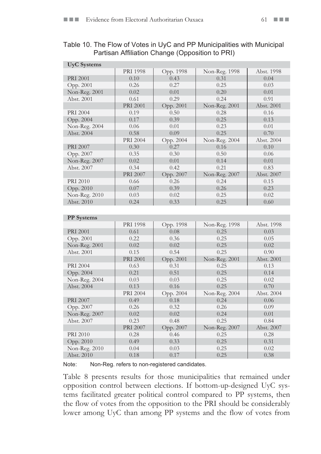| <b>UyC</b> Systems |                 |           |               |            |
|--------------------|-----------------|-----------|---------------|------------|
|                    | <b>PRI 1998</b> | Opp. 1998 | Non-Reg. 1998 | Abst. 1998 |
| <b>PRI 2001</b>    | 0.10            | 0.43      | 0.31          | 0.04       |
| Opp. 2001          | 0.26            | 0.27      | 0.25          | 0.03       |
| Non-Reg. 2001      | 0.02            | 0.01      | 0.20          | 0.01       |
| Abst. 2001         | 0.61            | 0.29      | 0.24          | 0.91       |
|                    | <b>PRI 2001</b> | Opp. 2001 | Non-Reg. 2001 | Abst. 2001 |
| PRI 2004           | 0.19            | 0.50      | 0.28          | 0.16       |
| Opp. 2004          | 0.17            | 0.39      | 0.25          | 0.13       |
| Non-Reg. 2004      | 0.06            | 0.01      | 0.23          | 0.01       |
| Abst. 2004         | 0.58            | 0.09      | 0.25          | 0.70       |
|                    | <b>PRI 2004</b> | Opp. 2004 | Non-Reg. 2004 | Abst. 2004 |
| PRI 2007           | 0.30            | 0.27      | 0.16          | 0.10       |
| Opp. 2007          | 0.35            | 0.30      | 0.50          | 0.06       |
| Non-Reg. 2007      | 0.02            | 0.01      | 0.14          | 0.01       |
| Abst. 2007         | 0.34            | 0.42      | 0.21          | 0.83       |
|                    | <b>PRI 2007</b> | Opp. 2007 | Non-Reg. 2007 | Abst. 2007 |
| PRI 2010           | 0.66            | 0.26      | 0.24          | 0.15       |
| Opp. 2010          | 0.07            | 0.39      | 0.26          | 0.23       |
| Non-Reg. 2010      | 0.03            | 0.02      | 0.25          | 0.02       |
| Abst. 2010         | 0.24            | 0.33      | 0.25          | 0.60       |

#### Table 10. The Flow of Votes in UyC and PP Municipalities with Municipal Partisan Affiliation Change (Opposition to PRI)

| <b>PP</b> Systems |                 |           |               |            |
|-------------------|-----------------|-----------|---------------|------------|
|                   | <b>PRI 1998</b> | Opp. 1998 | Non-Reg. 1998 | Abst. 1998 |
| <b>PRI 2001</b>   | 0.61            | 0.08      | 0.25          | 0.03       |
| Opp. 2001         | 0.22            | 0.36      | 0.25          | 0.05       |
| Non-Reg. 2001     | 0.02            | 0.02      | 0.25          | 0.02       |
| Abst. 2001        | 0.15            | 0.54      | 0.25          | 0.90       |
|                   | <b>PRI 2001</b> | Opp. 2001 | Non-Reg. 2001 | Abst. 2001 |
| PRI 2004          | 0.63            | 0.31      | 0.25          | 0.13       |
| Opp. 2004         | 0.21            | 0.51      | 0.25          | 0.14       |
| Non-Reg. 2004     | 0.03            | 0.03      | 0.25          | 0.02       |
| Abst. 2004        | 0.13            | 0.16      | 0.25          | 0.70       |
|                   | <b>PRI 2004</b> | Opp. 2004 | Non-Reg. 2004 | Abst. 2004 |
| <b>PRI 2007</b>   | 0.49            | 0.18      | 0.24          | 0.06       |
| Opp. 2007         | 0.26            | 0.32      | 0.26          | 0.09       |
| Non-Reg. 2007     | 0.02            | 0.02      | 0.24          | 0.01       |
| Abst. 2007        | 0.23            | 0.48      | 0.25          | 0.84       |
|                   | <b>PRI 2007</b> | Opp. 2007 | Non-Reg. 2007 | Abst. 2007 |
| <b>PRI 2010</b>   | 0.28            | 0.46      | 0.25          | 0.28       |
| Opp. 2010         | 0.49            | 0.33      | 0.25          | 0.31       |
| Non-Reg. 2010     | 0.04            | 0.03      | 0.25          | 0.02       |
| Abst. 2010        | 0.18            | 0.17      | 0.25          | 0.38       |

Note: Non-Reg. refers to non-registered candidates.

Table 8 presents results for those municipalities that remained under opposition control between elections. If bottom-up-designed UyC systems facilitated greater political control compared to PP systems, then the flow of votes from the opposition to the PRI should be considerably lower among UyC than among PP systems and the flow of votes from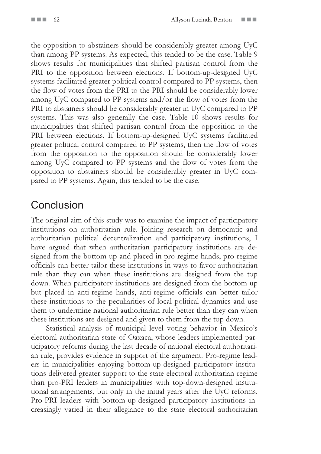the opposition to abstainers should be considerably greater among UyC than among PP systems. As expected, this tended to be the case. Table 9 shows results for municipalities that shifted partisan control from the PRI to the opposition between elections. If bottom-up-designed UyC systems facilitated greater political control compared to PP systems, then the flow of votes from the PRI to the PRI should be considerably lower among UyC compared to PP systems and/or the flow of votes from the PRI to abstainers should be considerably greater in UyC compared to PP systems. This was also generally the case. Table 10 shows results for municipalities that shifted partisan control from the opposition to the PRI between elections. If bottom-up-designed UyC systems facilitated greater political control compared to PP systems, then the flow of votes from the opposition to the opposition should be considerably lower among UyC compared to PP systems and the flow of votes from the opposition to abstainers should be considerably greater in UyC compared to PP systems. Again, this tended to be the case.

### Conclusion

The original aim of this study was to examine the impact of participatory institutions on authoritarian rule. Joining research on democratic and authoritarian political decentralization and participatory institutions, I have argued that when authoritarian participatory institutions are designed from the bottom up and placed in pro-regime hands, pro-regime officials can better tailor these institutions in ways to favor authoritarian rule than they can when these institutions are designed from the top down. When participatory institutions are designed from the bottom up but placed in anti-regime hands, anti-regime officials can better tailor these institutions to the peculiarities of local political dynamics and use them to undermine national authoritarian rule better than they can when these institutions are designed and given to them from the top down.

Statistical analysis of municipal level voting behavior in Mexico's electoral authoritarian state of Oaxaca, whose leaders implemented participatory reforms during the last decade of national electoral authoritarian rule, provides evidence in support of the argument. Pro-regime leaders in municipalities enjoying bottom-up-designed participatory institutions delivered greater support to the state electoral authoritarian regime than pro-PRI leaders in municipalities with top-down-designed institutional arrangements, but only in the initial years after the UyC reforms. Pro-PRI leaders with bottom-up-designed participatory institutions increasingly varied in their allegiance to the state electoral authoritarian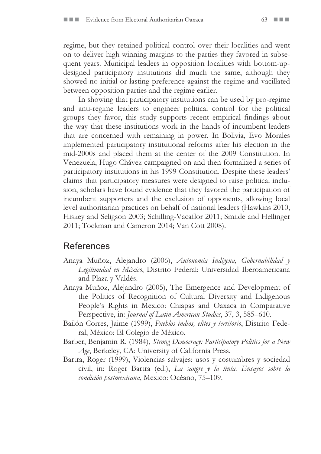regime, but they retained political control over their localities and went on to deliver high winning margins to the parties they favored in subsequent years. Municipal leaders in opposition localities with bottom-updesigned participatory institutions did much the same, although they showed no initial or lasting preference against the regime and vacillated between opposition parties and the regime earlier.

In showing that participatory institutions can be used by pro-regime and anti-regime leaders to engineer political control for the political groups they favor, this study supports recent empirical findings about the way that these institutions work in the hands of incumbent leaders that are concerned with remaining in power. In Bolivia, Evo Morales implemented participatory institutional reforms after his election in the mid-2000s and placed them at the center of the 2009 Constitution. In Venezuela, Hugo Chávez campaigned on and then formalized a series of participatory institutions in his 1999 Constitution. Despite these leaders' claims that participatory measures were designed to raise political inclusion, scholars have found evidence that they favored the participation of incumbent supporters and the exclusion of opponents, allowing local level authoritarian practices on behalf of national leaders (Hawkins 2010; Hiskey and Seligson 2003; Schilling-Vacaflor 2011; Smilde and Hellinger 2011; Tockman and Cameron 2014; Van Cott 2008).

### References

- Anaya Muñoz, Alejandro (2006), *Autonomía Indígena, Gobernabilidad y Legitimidad en México*, Distrito Federal: Universidad Iberoamericana and Plaza y Valdés.
- Anaya Muñoz, Alejandro (2005), The Emergence and Development of the Politics of Recognition of Cultural Diversity and Indigenous People's Rights in Mexico: Chiapas and Oaxaca in Comparative Perspective, in: *Journal of Latin American Studies*, 37, 3, 585–610.
- Bailón Corres, Jaime (1999), *Pueblos indios, elites y territorio*, Distrito Federal, México: El Colegio de México.
- Barber, Benjamin R. (1984), *Strong Democracy: Participatory Politics for a New Age*, Berkeley, CA: University of California Press.
- Bartra, Roger (1999), Violencias salvajes: usos y costumbres y sociedad civil, in: Roger Bartra (ed.), *La sangre y la tinta. Ensayos sobre la condición postmexicana*, Mexico: Océano, 75–109.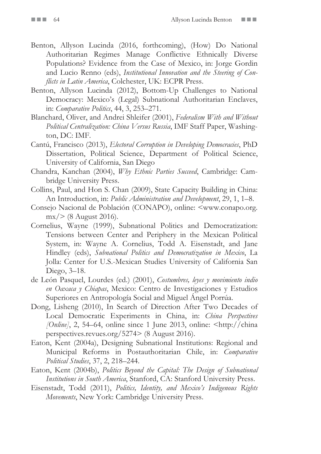- Benton, Allyson Lucinda (2016, forthcoming), (How) Do National Authoritarian Regimes Manage Conflictive Ethnically Diverse Populations? Evidence from the Case of Mexico, in: Jorge Gordin and Lucio Renno (eds), *Institutional Innovation and the Steering of Conflicts in Latin America*, Colchester, UK: ECPR Press.
- Benton, Allyson Lucinda (2012), Bottom-Up Challenges to National Democracy: Mexico's (Legal) Subnational Authoritarian Enclaves, in: *Comparative Politics*, 44, 3, 253–271.
- Blanchard, Oliver, and Andrei Shleifer (2001), *Federalism With and Without Political Centralization: China Versus Russia*, IMF Staff Paper, Washington, DC: IMF.
- Cantú, Francisco (2013), *Electoral Corruption in Developing Democracies*, PhD Dissertation, Political Science, Department of Political Science, University of California, San Diego
- Chandra, Kanchan (2004), *Why Ethnic Parties Succeed*, Cambridge: Cambridge University Press.
- Collins, Paul, and Hon S. Chan (2009), State Capacity Building in China: An Introduction, in: *Public Administration and Development*, 29, 1, 1–8.
- Consejo Nacional de Población (CONAPO), online: <www.conapo.org.  $mx$  /> (8 August 2016).
- Cornelius, Wayne (1999), Subnational Politics and Democratization: Tensions between Center and Periphery in the Mexican Political System, in: Wayne A. Cornelius, Todd A. Eisenstadt, and Jane Hindley (eds), *Subnational Politics and Democratization in Mexico*, La Jolla: Center for U.S.-Mexican Studies University of California San Diego, 3–18.
- de León Pasquel, Lourdes (ed.) (2001), *Costumbres, leyes y movimiento indio en Oaxaca y Chiapas*, Mexico: Centro de Investigaciones y Estudios Superiores en Antropología Social and Miguel Ángel Porrúa.
- Dong, Lisheng (2010), In Search of Direction After Two Decades of Local Democratic Experiments in China, in: *China Perspectives [Online]*, 2, 54–64, online since 1 June 2013, online: <http://china perspectives.revues.org/5274> (8 August 2016).
- Eaton, Kent (2004a), Designing Subnational Institutions: Regional and Municipal Reforms in Postauthoritarian Chile, in: *Comparative Political Studies*, 37, 2, 218–244.
- Eaton, Kent (2004b), *Politics Beyond the Capital: The Design of Subnational Institutions in South America*, Stanford, CA: Stanford University Press.
- Eisenstadt, Todd (2011), *Politics, Identity, and Mexico's Indigenous Rights Movements*, New York: Cambridge University Press.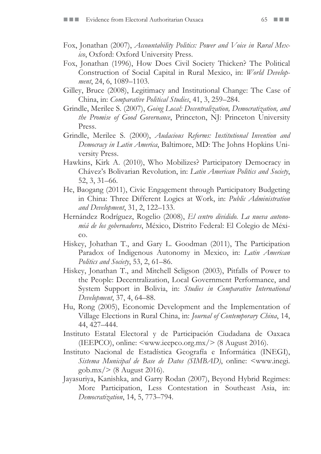- Fox, Jonathan (2007), *Accountability Politics: Power and Voice in Rural Mexico*, Oxford: Oxford University Press.
- Fox, Jonathan (1996), How Does Civil Society Thicken? The Political Construction of Social Capital in Rural Mexico, in: *World Development*, 24, 6, 1089–1103.
- Gilley, Bruce (2008), Legitimacy and Institutional Change: The Case of China, in: *Comparative Political Studies*, 41, 3, 259–284.
- Grindle, Merilee S. (2007), *Going Local: Decentralization, Democratization, and the Promise of Good Governance*, Princeton, NJ: Princeton University Press.
- Grindle, Merilee S. (2000), *Audacious Reforms: Institutional Invention and Democracy in Latin America*, Baltimore, MD: The Johns Hopkins University Press.
- Hawkins, Kirk A. (2010), Who Mobilizes? Participatory Democracy in Chávez's Bolivarian Revolution, in: *Latin American Politics and Society*, 52, 3, 31–66.
- He, Baogang (2011), Civic Engagement through Participatory Budgeting in China: Three Different Logics at Work, in: *Public Administration and Development*, 31, 2, 122–133.
- Hernández Rodríguez, Rogelio (2008), *El centro dividido. La nueva autonomiá de los gobernadores*, México, Distrito Federal: El Colegio de México.
- Hiskey, Johathan T., and Gary L. Goodman (2011), The Participation Paradox of Indigenous Autonomy in Mexico, in: *Latin American Politics and Society*, 53, 2, 61–86.
- Hiskey, Jonathan T., and Mitchell Seligson (2003), Pitfalls of Power to the People: Decentralization, Local Government Performance, and System Support in Bolivia, in: *Studies in Comparative International Development*, 37, 4, 64–88.
- Hu, Rong (2005), Economic Development and the Implementation of Village Elections in Rural China, in: *Journal of Contemporary China*, 14, 44, 427–444.
- Instituto Estatal Electoral y de Participación Ciudadana de Oaxaca (IEEPCO), online: <www.ieepco.org.mx/> (8 August 2016).
- Instituto Nacional de Estadística Geografía e Informática (INEGI), *Sistema Municipal de Base de Datos (SIMBAD)*, online: <www.inegi. gob.mx/> (8 August 2016).
- Jayasuriya, Kanishka, and Garry Rodan (2007), Beyond Hybrid Regimes: More Participation, Less Contestation in Southeast Asia, in: *Democratization*, 14, 5, 773–794.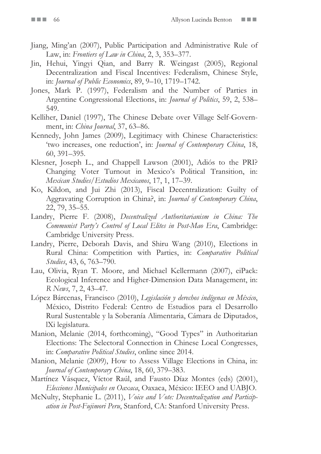- Jiang, Ming'an (2007), Public Participation and Administrative Rule of Law, in: *Frontiers of Law in China*, 2, 3, 353–377.
- Jin, Hehui, Yingyi Qian, and Barry R. Weingast (2005), Regional Decentralization and Fiscal Incentives: Federalism, Chinese Style, in: *Journal of Public Economics*, 89, 9–10, 1719–1742.
- Jones, Mark P. (1997), Federalism and the Number of Parties in Argentine Congressional Elections, in: *Journal of Politics*, 59, 2, 538– 549.
- Kelliher, Daniel (1997), The Chinese Debate over Village Self-Government, in: *China Journal*, 37, 63–86.
- Kennedy, John James (2009), Legitimacy with Chinese Characteristics: 'two increases, one reduction', in: *Journal of Contemporary China*, 18, 60, 391–395.
- Klesner, Joseph L., and Chappell Lawson (2001), Adiós to the PRI? Changing Voter Turnout in Mexico's Political Transition, in: *Mexican Studies/Estudios Mexicanos*, 17, 1, 17–39.
- Ko, Kildon, and Jui Zhi (2013), Fiscal Decentralization: Guilty of Aggravating Corruption in China?, in: *Journal of Contemporary China*, 22, 79, 35–55.
- Landry, Pierre F. (2008), *Decentralized Authoritarianism in China: The Communist Party's Control of Local Elites in Post-Mao Era*, Cambridge: Cambridge University Press.
- Landry, Pierre, Deborah Davis, and Shiru Wang (2010), Elections in Rural China: Competition with Parties, in: *Comparative Political Studies*, 43, 6, 763–790.
- Lau, Olivia, Ryan T. Moore, and Michael Kellermann (2007), eiPack: Ecological Inference and Higher-Dimension Data Management, in: *R News*, 7, 2, 43–47.
- López Bárcenas, Francisco (2010), *Legislación y derechos indígenas en México*, México, Distrito Federal: Centro de Estudios para el Desarrollo Rural Sustentable y la Soberanía Alimentaria, Cámara de Diputados, lXi legislatura.
- Manion, Melanie (2014, forthcoming), "Good Types" in Authoritarian Elections: The Selectoral Connection in Chinese Local Congresses, in: *Comparative Political Studies*, online since 2014.
- Manion, Melanie (2009), How to Assess Village Elections in China, in: *Journal of Contemporary China*, 18, 60, 379–383.
- Martínez Vásquez, Víctor Raúl, and Fausto Díaz Montes (eds) (2001), *Elecciones Municipales en Oaxaca*, Oaxaca, México: IEEO and UABJO.
- McNulty, Stephanie L. (2011), *Voice and Vote: Decentralization and Participation in Post-Fujimori Peru*, Stanford, CA: Stanford University Press.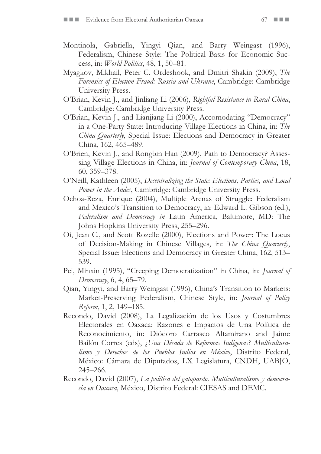- Montinola, Gabriella, Yingyi Qian, and Barry Weingast (1996), Federalism, Chinese Style: The Political Basis for Economic Success, in: *World Politics*, 48, 1, 50–81.
- Myagkov, Mikhail, Peter C. Ordeshook, and Dmitri Shakin (2009), *The Forensics of Election Fraud: Russia and Ukraine*, Cambridge: Cambridge University Press.
- O'Brian, Kevin J., and Jinliang Li (2006), *Rightful Resistance in Rural China*, Cambridge: Cambridge University Press.
- O'Brian, Kevin J., and Lianjiang Li (2000), Accomodating "Democracy" in a One-Party State: Introducing Village Elections in China, in: *The China Quarterly*, Special Issue: Elections and Democracy in Greater China, 162, 465–489.
- O'Brien, Kevin J., and Rongbin Han (2009), Path to Democracy? Assessing Village Elections in China, in: *Journal of Contemporary China*, 18, 60, 359–378.
- O'Neill, Kathleen (2005), *Decentralizing the State: Elections, Parties, and Local Power in the Andes*, Cambridge: Cambridge University Press.
- Ochoa-Reza, Enrique (2004), Multiple Arenas of Struggle: Federalism and Mexico's Transition to Democracy, in: Edward L. Gibson (ed.), *Federalism and Democracy in* Latin America, Baltimore, MD: The Johns Hopkins University Press, 255–296.
- Oi, Jean C., and Scott Rozelle (2000), Elections and Power: The Locus of Decision-Making in Chinese Villages, in: *The China Quarterly*, Special Issue: Elections and Democracy in Greater China, 162, 513– 539.
- Pei, Minxin (1995), "Creeping Democratization" in China, in: *Journal of Democracy*, 6, 4, 65–79.
- Qian, Yingyi, and Barry Weingast (1996), China's Transition to Markets: Market-Preserving Federalism, Chinese Style, in: *Journal of Policy Reform*, 1, 2, 149–185.
- Recondo, David (2008), La Legalización de los Usos y Costumbres Electorales en Oaxaca: Razones e Impactos de Una Política de Reconocimiento, in: Diódoro Carrasco Altamirano and Jaime Bailón Corres (eds), *¿Una Década de Reformas Indígenas? Multiculturalismo y Derechos de los Pueblos Indios en México*, Distrito Federal, México: Cámara de Diputados, LX Legislatura, CNDH, UABJO, 245–266.
- Recondo, David (2007), *La política del gatopardo. Multiculturalismo y democracia en Oaxaca*, México, Distrito Federal: CIESAS and DEMC.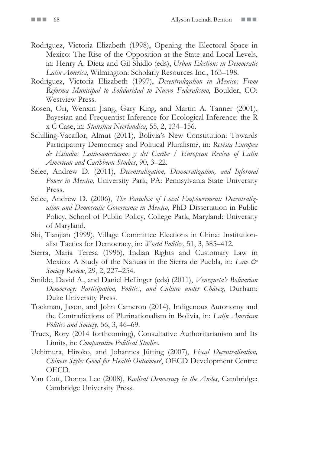- Rodríguez, Victoria Elizabeth (1998), Opening the Electoral Space in Mexico: The Rise of the Opposition at the State and Local Levels, in: Henry A. Dietz and Gil Shidlo (eds), *Urban Elections in Democratic Latin America*, Wilmington: Scholarly Resources Inc., 163–198.
- Rodríguez, Victoria Elizabeth (1997), *Decentralization in Mexico: From Reforma Municipal to Solidaridad to Nuevo Federalismo*, Boulder, CO: Westview Press.
- Rosen, Ori, Wenxin Jiang, Gary King, and Martin A. Tanner (2001), Bayesian and Frequentist Inference for Ecological Inference: the R x C Case, in: *Statistica Neerlandica*, 55, 2, 134–156.
- Schilling-Vacaflor, Almut (2011), Bolivia's New Constitution: Towards Participatory Democracy and Political Pluralism?, in: *Revista Europea de Estudios Latinoamericanos y del Caribe / European Review of Latin American and Caribbean Studies*, 90, 3–22.
- Selee, Andrew D. (2011), *Decentralization, Democratization, and Informal Power in Mexico*, University Park, PA: Pennsylvania State University Press.
- Selee, Andrew D. (2006), *The Paradox of Local Empowerment: Decentralization and Democratic Governance in Mexico*, PhD Dissertation in Public Policy, School of Public Policy, College Park, Maryland: University of Maryland.
- Shi, Tianjian (1999), Village Committee Elections in China: Institutionalist Tactics for Democracy, in: *World Politics*, 51, 3, 385–412.
- Sierra, María Teresa (1995), Indian Rights and Customary Law in Mexico: A Study of the Nahuas in the Sierra de Puebla, in: *Law & Society Review*, 29, 2, 227–254.
- Smilde, David A., and Daniel Hellinger (eds) (2011), *Venezuela's Bolivarian Democracy: Participation, Politics, and Culture under Chávez*, Durham: Duke University Press.
- Tockman, Jason, and John Cameron (2014), Indigenous Autonomy and the Contradictions of Plurinationalism in Bolivia, in: *Latin American Politics and Society*, 56, 3, 46–69.
- Truex, Rory (2014 forthcoming), Consultative Authoritarianism and Its Limits, in: *Comparative Political Studies*.
- Uchimura, Hiroko, and Johannes Jütting (2007), *Fiscal Decentralisation, Chinese Style: Good for Health Outcomes?*, OECD Development Centre: OECD.
- Van Cott, Donna Lee (2008), *Radical Democracy in the Andes*, Cambridge: Cambridge University Press.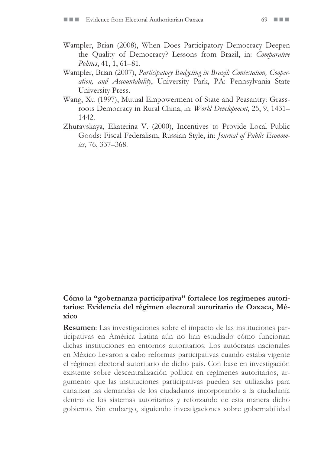- Wampler, Brian (2008), When Does Participatory Democracy Deepen the Quality of Democracy? Lessons from Brazil, in: *Comparative Politics*, 41, 1, 61–81.
- Wampler, Brian (2007), *Participatory Budgeting in Brazil: Contestation, Cooperation, and Accountability*, University Park, PA: Pennsylvania State University Press.
- Wang, Xu (1997), Mutual Empowerment of State and Peasantry: Grassroots Democracy in Rural China, in: *World Development*, 25, 9, 1431– 1442.
- Zhuravskaya, Ekaterina V. (2000), Incentives to Provide Local Public Goods: Fiscal Federalism, Russian Style, in: *Journal of Public Economics*, 76, 337–368.

#### **Cómo la "gobernanza participativa" fortalece los regímenes autoritarios: Evidencia del régimen electoral autoritario de Oaxaca, México**

**Resumen**: Las investigaciones sobre el impacto de las instituciones participativas en América Latina aún no han estudiado cómo funcionan dichas instituciones en entornos autoritarios. Los autócratas nacionales en México llevaron a cabo reformas participativas cuando estaba vigente el régimen electoral autoritario de dicho país. Con base en investigación existente sobre descentralización política en regímenes autoritarios, argumento que las instituciones participativas pueden ser utilizadas para canalizar las demandas de los ciudadanos incorporando a la ciudadanía dentro de los sistemas autoritarios y reforzando de esta manera dicho gobierno. Sin embargo, siguiendo investigaciones sobre gobernabilidad